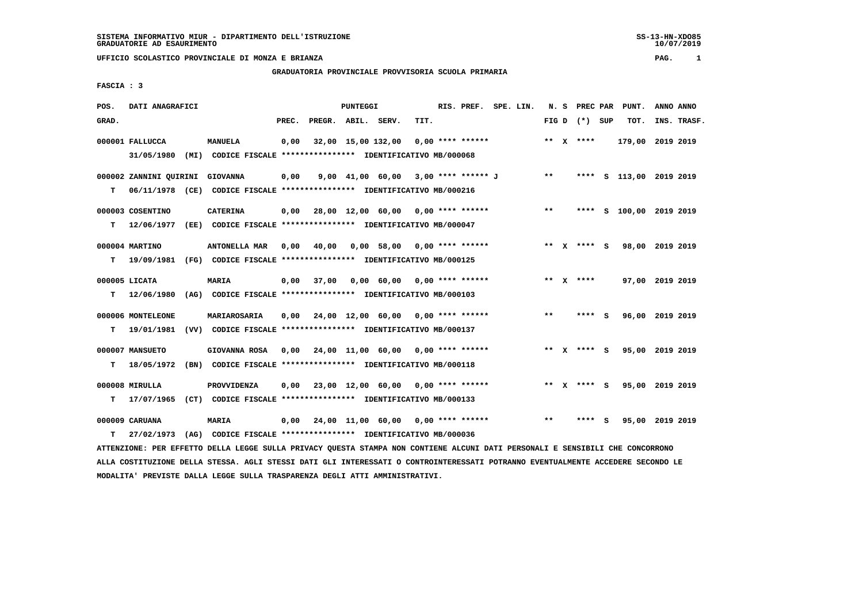## **GRADUATORIA PROVINCIALE PROVVISORIA SCUOLA PRIMARIA**

 **FASCIA : 3**

| POS.  | DATI ANAGRAFICI                 |                                                                                                                               |       |                    | PUNTEGGI |                                           |      | RIS. PREF. SPE. LIN. |  |       |                 | N. S PREC PAR PUNT.         | ANNO ANNO   |
|-------|---------------------------------|-------------------------------------------------------------------------------------------------------------------------------|-------|--------------------|----------|-------------------------------------------|------|----------------------|--|-------|-----------------|-----------------------------|-------------|
| GRAD. |                                 |                                                                                                                               | PREC. | PREGR. ABIL. SERV. |          |                                           | TIT. |                      |  |       | FIG D $(*)$ SUP | TOT.                        | INS. TRASF. |
|       | 000001 FALLUCCA                 | <b>MANUELA</b>                                                                                                                | 0,00  |                    |          | 32,00 15,00 132,00 0,00 **** ******       |      |                      |  |       | ** $X$ ****     | 179,00 2019 2019            |             |
|       |                                 | 31/05/1980 (MI) CODICE FISCALE *************** IDENTIFICATIVO MB/000068                                                       |       |                    |          |                                           |      |                      |  |       |                 |                             |             |
|       | 000002 ZANNINI OUIRINI GIOVANNA |                                                                                                                               | 0,00  |                    |          | 9,00 41,00 60,00 3,00 **** ****** J       |      |                      |  | $***$ |                 | **** S 113,00 2019 2019     |             |
| т     |                                 | 06/11/1978 (CE) CODICE FISCALE *************** IDENTIFICATIVO MB/000216                                                       |       |                    |          |                                           |      |                      |  |       |                 |                             |             |
|       | 000003 COSENTINO                | <b>CATERINA</b>                                                                                                               |       |                    |          | $0,00$ 28,00 12,00 60,00 0,00 **** ****** |      |                      |  | $***$ |                 | **** S 100,00 2019 2019     |             |
| т     |                                 | 12/06/1977 (EE) CODICE FISCALE **************** IDENTIFICATIVO MB/000047                                                      |       |                    |          |                                           |      |                      |  |       |                 |                             |             |
|       | 000004 MARTINO                  | ANTONELLA MAR                                                                                                                 | 0,00  | 40,00              |          | 0,00 58,00 0,00 **** ******               |      |                      |  |       |                 | ** X **** S 98,00 2019 2019 |             |
| т     |                                 | 19/09/1981 (FG) CODICE FISCALE **************** IDENTIFICATIVO MB/000125                                                      |       |                    |          |                                           |      |                      |  |       |                 |                             |             |
|       | 000005 LICATA                   | MARIA                                                                                                                         | 0,00  | 37,00              |          | $0,00$ 60,00 0,00 **** ******             |      |                      |  |       | ** $X$ ****     | 97,00 2019 2019             |             |
| т     |                                 | 12/06/1980 (AG) CODICE FISCALE *************** IDENTIFICATIVO MB/000103                                                       |       |                    |          |                                           |      |                      |  |       |                 |                             |             |
|       | 000006 MONTELEONE               | MARIAROSARIA                                                                                                                  |       |                    |          | $0,00$ 24,00 12,00 60,00 0,00 **** ****** |      |                      |  | $* *$ | **** S          | 96,00 2019 2019             |             |
| т     | 19/01/1981                      | (VV) CODICE FISCALE **************** IDENTIFICATIVO MB/000137                                                                 |       |                    |          |                                           |      |                      |  |       |                 |                             |             |
|       | 000007 MANSUETO                 | GIOVANNA ROSA                                                                                                                 |       |                    |          | $0,00$ 24,00 11,00 60,00 0,00 **** ****** |      |                      |  |       |                 | ** X **** S 95,00 2019 2019 |             |
| т     | 18/05/1972                      | (BN) CODICE FISCALE **************** IDENTIFICATIVO MB/000118                                                                 |       |                    |          |                                           |      |                      |  |       |                 |                             |             |
|       | 000008 MIRULLA                  | PROVVIDENZA                                                                                                                   | 0,00  |                    |          | 23,00 12,00 60,00 0,00 **** ******        |      |                      |  |       | ** x **** S     | 95,00 2019 2019             |             |
| т     |                                 | 17/07/1965 (CT) CODICE FISCALE *************** IDENTIFICATIVO MB/000133                                                       |       |                    |          |                                           |      |                      |  |       |                 |                             |             |
|       | 000009 CARUANA                  | <b>MARIA</b>                                                                                                                  |       |                    |          | $0,00$ 24,00 11,00 60,00 0,00 **** ****** |      |                      |  | $* *$ | **** S          | 95,00 2019 2019             |             |
| т     | 27/02/1973                      | (AG) CODICE FISCALE **************** IDENTIFICATIVO MB/000036                                                                 |       |                    |          |                                           |      |                      |  |       |                 |                             |             |
|       |                                 | ATTENZIONE: PER EFFETTO DELLA LEGGE SULLA PRIVACY QUESTA STAMPA NON CONTIENE ALCUNI DATI PERSONALI E SENSIBILI CHE CONCORRONO |       |                    |          |                                           |      |                      |  |       |                 |                             |             |

 **ALLA COSTITUZIONE DELLA STESSA. AGLI STESSI DATI GLI INTERESSATI O CONTROINTERESSATI POTRANNO EVENTUALMENTE ACCEDERE SECONDO LE MODALITA' PREVISTE DALLA LEGGE SULLA TRASPARENZA DEGLI ATTI AMMINISTRATIVI.**

SS-13-HN-XDO85<br>10/07/2019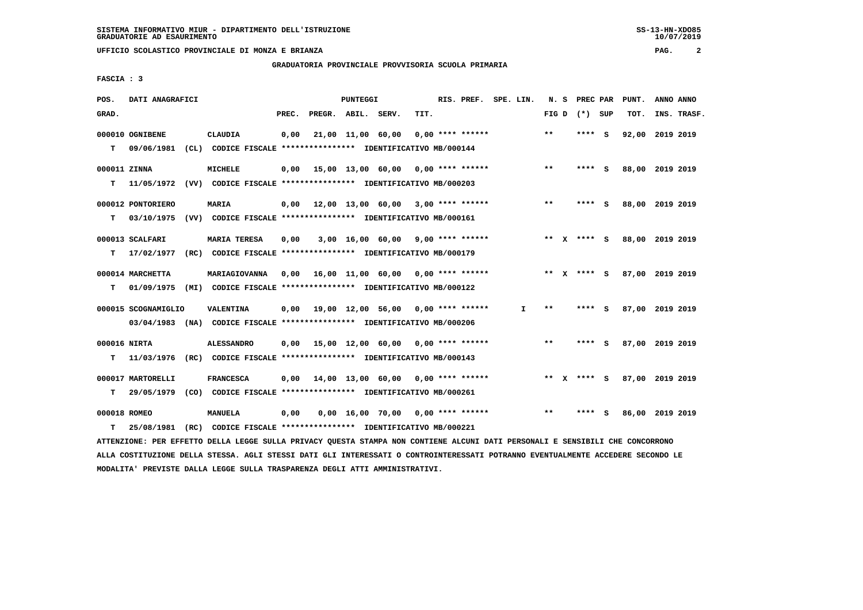**GRADUATORIA PROVINCIALE PROVVISORIA SCUOLA PRIMARIA**

 **FASCIA : 3**

| POS.         | DATI ANAGRAFICI     |                                                                                                                               |       |                    | PUNTEGGI |                                           |      | RIS. PREF. SPE. LIN. |    |       |                 |     | N. S PREC PAR PUNT. | ANNO ANNO |             |
|--------------|---------------------|-------------------------------------------------------------------------------------------------------------------------------|-------|--------------------|----------|-------------------------------------------|------|----------------------|----|-------|-----------------|-----|---------------------|-----------|-------------|
| GRAD.        |                     |                                                                                                                               | PREC. | PREGR. ABIL. SERV. |          |                                           | TIT. |                      |    |       | FIG D $(*)$ SUP |     | TOT.                |           | INS. TRASF. |
|              | 000010 OGNIBENE     | <b>CLAUDIA</b>                                                                                                                | 0,00  |                    |          | 21,00 11,00 60,00                         |      | $0.00$ **** ******   |    | $***$ | ****            | - S | 92,00               | 2019 2019 |             |
| т            | 09/06/1981          | (CL) CODICE FISCALE **************** IDENTIFICATIVO MB/000144                                                                 |       |                    |          |                                           |      |                      |    |       |                 |     |                     |           |             |
| 000011 ZINNA |                     | MICHELE                                                                                                                       | 0,00  |                    |          | 15,00 13,00 60,00 0,00 **** ******        |      |                      |    | **    | **** S          |     | 88,00 2019 2019     |           |             |
| т            |                     | 11/05/1972 (VV) CODICE FISCALE *************** IDENTIFICATIVO MB/000203                                                       |       |                    |          |                                           |      |                      |    |       |                 |     |                     |           |             |
|              | 000012 PONTORIERO   | <b>MARIA</b>                                                                                                                  |       |                    |          | $0,00$ 12,00 13,00 60,00 3,00 **** ****** |      |                      |    | **    | **** S          |     | 88,00 2019 2019     |           |             |
| T.           |                     | 03/10/1975 (VV) CODICE FISCALE **************** IDENTIFICATIVO MB/000161                                                      |       |                    |          |                                           |      |                      |    |       |                 |     |                     |           |             |
|              | 000013 SCALFARI     | <b>MARIA TERESA</b>                                                                                                           | 0,00  |                    |          | $3,00$ 16,00 60,00 9,00 **** ******       |      |                      |    |       | ** x **** S     |     | 88,00 2019 2019     |           |             |
| т            | 17/02/1977          | (RC) CODICE FISCALE **************** IDENTIFICATIVO MB/000179                                                                 |       |                    |          |                                           |      |                      |    |       |                 |     |                     |           |             |
|              | 000014 MARCHETTA    | MARIAGIOVANNA                                                                                                                 | 0,00  |                    |          | 16,00 11,00 60,00 0,00 **** ******        |      |                      |    |       | ** x **** s     |     | 87,00 2019 2019     |           |             |
| т            | 01/09/1975          | (MI) CODICE FISCALE **************** IDENTIFICATIVO MB/000122                                                                 |       |                    |          |                                           |      |                      |    |       |                 |     |                     |           |             |
|              | 000015 SCOGNAMIGLIO | VALENTINA                                                                                                                     |       |                    |          | $0,00$ 19,00 12,00 56,00 0,00 **** ****** |      |                      | I. | $***$ | **** S          |     | 87,00 2019 2019     |           |             |
|              |                     | 03/04/1983 (NA) CODICE FISCALE *************** IDENTIFICATIVO MB/000206                                                       |       |                    |          |                                           |      |                      |    |       |                 |     |                     |           |             |
| 000016 NIRTA |                     | <b>ALESSANDRO</b>                                                                                                             |       |                    |          | $0.00$ 15.00 12.00 60.00 0.00 **** ****** |      |                      |    | **    | $***$ S         |     | 87,00 2019 2019     |           |             |
| т            | 11/03/1976          | (RC) CODICE FISCALE *************** IDENTIFICATIVO MB/000143                                                                  |       |                    |          |                                           |      |                      |    |       |                 |     |                     |           |             |
|              | 000017 MARTORELLI   | <b>FRANCESCA</b>                                                                                                              | 0,00  |                    |          | 14,00 13,00 60,00 0,00 **** ******        |      |                      |    |       | ** x **** s     |     | 87,00 2019 2019     |           |             |
| т            |                     | 29/05/1979 (CO) CODICE FISCALE **************** IDENTIFICATIVO MB/000261                                                      |       |                    |          |                                           |      |                      |    |       |                 |     |                     |           |             |
| 000018 ROMEO |                     | MANUELA                                                                                                                       | 0,00  |                    |          | $0,00$ 16,00 70,00 0,00 **** ******       |      |                      |    | $* *$ | ****            | - S | 86,00 2019 2019     |           |             |
| т            | 25/08/1981          | (RC) CODICE FISCALE **************** IDENTIFICATIVO MB/000221                                                                 |       |                    |          |                                           |      |                      |    |       |                 |     |                     |           |             |
|              |                     | ATTENZIONE: PER EFFETTO DELLA LEGGE SULLA PRIVACY QUESTA STAMPA NON CONTIENE ALCUNI DATI PERSONALI E SENSIBILI CHE CONCORRONO |       |                    |          |                                           |      |                      |    |       |                 |     |                     |           |             |

 **ALLA COSTITUZIONE DELLA STESSA. AGLI STESSI DATI GLI INTERESSATI O CONTROINTERESSATI POTRANNO EVENTUALMENTE ACCEDERE SECONDO LE MODALITA' PREVISTE DALLA LEGGE SULLA TRASPARENZA DEGLI ATTI AMMINISTRATIVI.**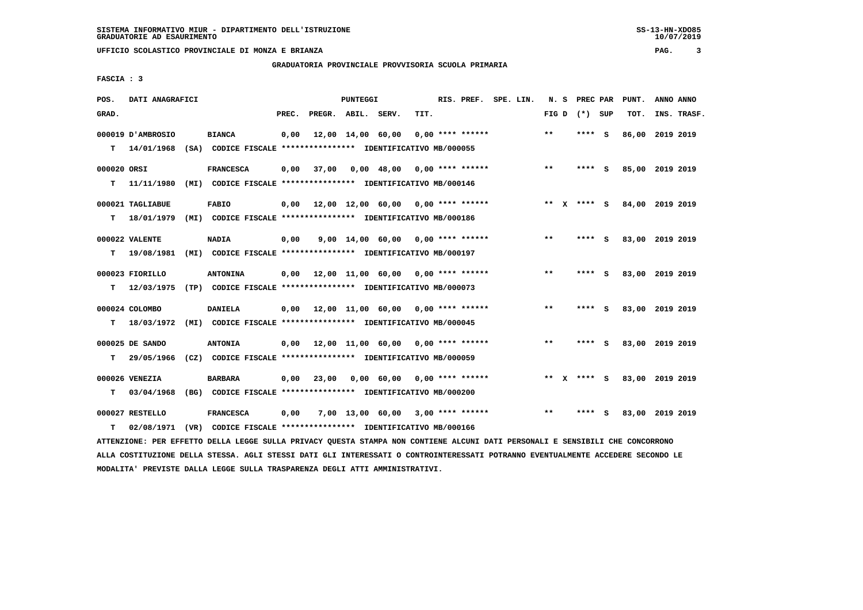**GRADUATORIA PROVINCIALE PROVVISORIA SCUOLA PRIMARIA**

 **FASCIA : 3**

| POS.        | DATI ANAGRAFICI   |                                                                                                                               |       |                    | PUNTEGGI          |                                           |      |                    | RIS. PREF. SPE. LIN. |       |                 |          | N. S PREC PAR PUNT. | ANNO ANNO |             |
|-------------|-------------------|-------------------------------------------------------------------------------------------------------------------------------|-------|--------------------|-------------------|-------------------------------------------|------|--------------------|----------------------|-------|-----------------|----------|---------------------|-----------|-------------|
| GRAD.       |                   |                                                                                                                               | PREC. | PREGR. ABIL. SERV. |                   |                                           | TIT. |                    |                      |       | FIG D $(*)$ SUP |          | TOT.                |           | INS. TRASF. |
|             | 000019 D'AMBROSIO | <b>BIANCA</b>                                                                                                                 | 0,00  |                    | 12,00 14,00 60,00 |                                           |      | $0.00$ **** ****** |                      | $***$ | ****            | - S      | 86,00               | 2019 2019 |             |
| т           | 14/01/1968        | (SA) CODICE FISCALE **************** IDENTIFICATIVO MB/000055                                                                 |       |                    |                   |                                           |      |                    |                      |       |                 |          |                     |           |             |
| 000020 ORSI |                   | <b>FRANCESCA</b>                                                                                                              | 0,00  | 37,00              |                   | $0,00$ 48,00 0,00 **** ******             |      |                    |                      | $* *$ | **** S          |          | 85,00 2019 2019     |           |             |
| т           | 11/11/1980        | (MI) CODICE FISCALE **************** IDENTIFICATIVO MB/000146                                                                 |       |                    |                   |                                           |      |                    |                      |       |                 |          |                     |           |             |
|             | 000021 TAGLIABUE  | <b>FABIO</b>                                                                                                                  |       |                    |                   | $0,00$ 12,00 12,00 60,00 0,00 **** ****** |      |                    |                      |       | ** x **** S     |          | 84,00 2019 2019     |           |             |
| T.          | 18/01/1979        | (MI) CODICE FISCALE **************** IDENTIFICATIVO MB/000186                                                                 |       |                    |                   |                                           |      |                    |                      |       |                 |          |                     |           |             |
|             | 000022 VALENTE    | <b>NADIA</b>                                                                                                                  | 0,00  |                    |                   | $9,00$ 14,00 60,00 0,00 **** ******       |      |                    |                      | $* *$ | ****            | - S      | 83,00 2019 2019     |           |             |
| т           | 19/08/1981        | (MI) CODICE FISCALE **************** IDENTIFICATIVO MB/000197                                                                 |       |                    |                   |                                           |      |                    |                      |       |                 |          |                     |           |             |
|             | 000023 FIORILLO   | <b>ANTONINA</b>                                                                                                               |       |                    |                   | $0,00$ 12,00 11,00 60,00 0,00 **** ****** |      |                    |                      | $***$ | **** S          |          | 83,00 2019 2019     |           |             |
| т           | 12/03/1975        | (TP) CODICE FISCALE *************** IDENTIFICATIVO MB/000073                                                                  |       |                    |                   |                                           |      |                    |                      |       |                 |          |                     |           |             |
|             | 000024 COLOMBO    | <b>DANIELA</b>                                                                                                                |       |                    |                   | $0,00$ 12,00 11,00 60,00 0,00 **** ****** |      |                    |                      | $* *$ | **** S          |          | 83,00 2019 2019     |           |             |
| т           | 18/03/1972        | (MI) CODICE FISCALE **************** IDENTIFICATIVO MB/000045                                                                 |       |                    |                   |                                           |      |                    |                      |       |                 |          |                     |           |             |
|             | 000025 DE SANDO   | <b>ANTONIA</b>                                                                                                                |       |                    |                   | $0,00$ 12,00 11,00 60,00 0,00 **** ****** |      |                    |                      | $* *$ | $***$ S         |          | 83,00 2019 2019     |           |             |
| т           | 29/05/1966        | (CZ) CODICE FISCALE **************** IDENTIFICATIVO MB/000059                                                                 |       |                    |                   |                                           |      |                    |                      |       |                 |          |                     |           |             |
|             | 000026 VENEZIA    | <b>BARBARA</b>                                                                                                                | 0,00  | 23,00              |                   | $0,00$ 60,00 0,00 **** ******             |      |                    |                      |       | ** x **** s     |          | 83,00 2019 2019     |           |             |
| т           | 03/04/1968        | (BG) CODICE FISCALE **************** IDENTIFICATIVO MB/000200                                                                 |       |                    |                   |                                           |      |                    |                      |       |                 |          |                     |           |             |
|             | 000027 RESTELLO   | <b>FRANCESCA</b>                                                                                                              | 0,00  |                    |                   | $7,00$ 13,00 60,00 3,00 **** ******       |      |                    |                      | $* *$ | ****            | <b>S</b> | 83,00 2019 2019     |           |             |
| т           | 02/08/1971        | (VR) CODICE FISCALE *************** IDENTIFICATIVO MB/000166                                                                  |       |                    |                   |                                           |      |                    |                      |       |                 |          |                     |           |             |
|             |                   | ATTENZIONE: PER EFFETTO DELLA LEGGE SULLA PRIVACY QUESTA STAMPA NON CONTIENE ALCUNI DATI PERSONALI E SENSIBILI CHE CONCORRONO |       |                    |                   |                                           |      |                    |                      |       |                 |          |                     |           |             |

 **ALLA COSTITUZIONE DELLA STESSA. AGLI STESSI DATI GLI INTERESSATI O CONTROINTERESSATI POTRANNO EVENTUALMENTE ACCEDERE SECONDO LE MODALITA' PREVISTE DALLA LEGGE SULLA TRASPARENZA DEGLI ATTI AMMINISTRATIVI.**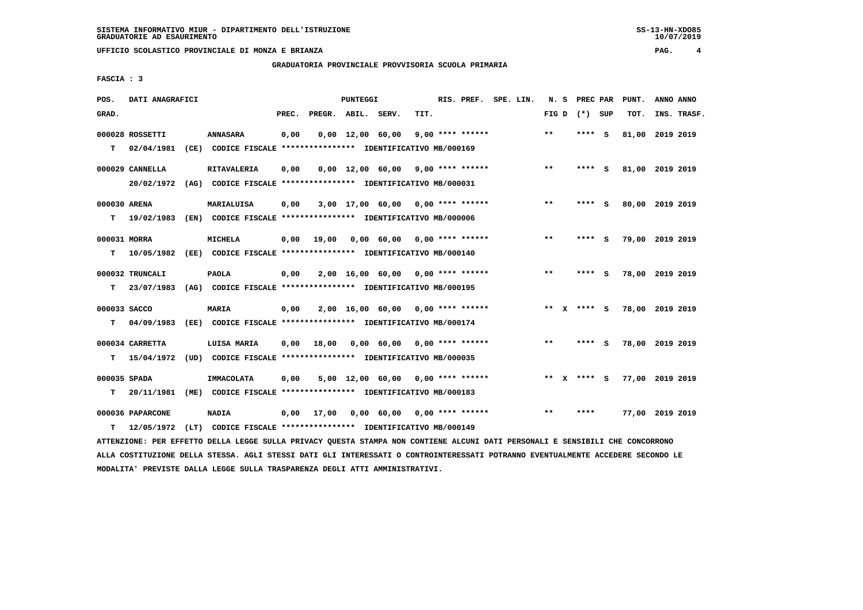**GRADUATORIA PROVINCIALE PROVVISORIA SCUOLA PRIMARIA**

 **FASCIA : 3**

| POS.         | DATI ANAGRAFICI  |                                                                                                                               |       |                    | <b>PUNTEGGI</b> |                                     |      |                    | RIS. PREF. SPE. LIN. |              |                 |     | N. S PREC PAR PUNT. | ANNO ANNO |             |
|--------------|------------------|-------------------------------------------------------------------------------------------------------------------------------|-------|--------------------|-----------------|-------------------------------------|------|--------------------|----------------------|--------------|-----------------|-----|---------------------|-----------|-------------|
| GRAD.        |                  |                                                                                                                               | PREC. | PREGR. ABIL. SERV. |                 |                                     | TIT. |                    |                      |              | FIG D $(*)$ SUP |     | TOT.                |           | INS. TRASF. |
|              | 000028 ROSSETTI  | <b>ANNASARA</b>                                                                                                               | 0,00  |                    |                 | $0,00 \quad 12,00 \quad 60,00$      |      | $9,00$ **** ****** |                      | $***$        | ****            | - S | 81,00               | 2019 2019 |             |
| T.           | 02/04/1981       | (CE) CODICE FISCALE **************** IDENTIFICATIVO MB/000169                                                                 |       |                    |                 |                                     |      |                    |                      |              |                 |     |                     |           |             |
|              |                  |                                                                                                                               |       |                    |                 |                                     |      |                    |                      |              |                 |     |                     |           |             |
|              | 000029 CANNELLA  | <b>RITAVALERIA</b>                                                                                                            | 0,00  |                    |                 | $0,00$ 12,00 60,00 9,00 **** ****** |      |                    |                      | $* *$        | ****            | - S | 81,00 2019 2019     |           |             |
|              | 20/02/1972       | (AG) CODICE FISCALE **************** IDENTIFICATIVO MB/000031                                                                 |       |                    |                 |                                     |      |                    |                      |              |                 |     |                     |           |             |
| 000030 ARENA |                  | MARIALUISA                                                                                                                    | 0,00  |                    |                 | $3,00$ 17,00 60,00 0,00 **** ****** |      |                    |                      | $* *$        | **** S          |     | 80,00 2019 2019     |           |             |
| т            | 19/02/1983       | (EN) CODICE FISCALE *************** IDENTIFICATIVO MB/000006                                                                  |       |                    |                 |                                     |      |                    |                      |              |                 |     |                     |           |             |
| 000031 MORRA |                  | <b>MICHELA</b>                                                                                                                | 0,00  | 19,00              |                 | $0,00$ 60,00 0,00 **** ******       |      |                    |                      | $***$        | ****            | - S | 79,00 2019 2019     |           |             |
| т            | 10/05/1982       | (EE) CODICE FISCALE **************** IDENTIFICATIVO MB/000140                                                                 |       |                    |                 |                                     |      |                    |                      |              |                 |     |                     |           |             |
|              |                  |                                                                                                                               |       |                    |                 |                                     |      |                    |                      |              |                 |     |                     |           |             |
|              | 000032 TRUNCALI  | <b>PAOLA</b>                                                                                                                  | 0,00  |                    |                 | $2,00$ 16,00 60,00 0,00 **** ****** |      |                    |                      | **           | **** S          |     | 78,00 2019 2019     |           |             |
| T.           | 23/07/1983       | (AG) CODICE FISCALE **************** IDENTIFICATIVO MB/000195                                                                 |       |                    |                 |                                     |      |                    |                      |              |                 |     |                     |           |             |
| 000033 SACCO |                  | MARIA                                                                                                                         | 0,00  |                    |                 | $2,00$ 16,00 60,00 0,00 **** ****** |      |                    |                      |              | ** $X$ **** S   |     | 78,00 2019 2019     |           |             |
| т            | 04/09/1983       | (EE) CODICE FISCALE **************** IDENTIFICATIVO MB/000174                                                                 |       |                    |                 |                                     |      |                    |                      |              |                 |     |                     |           |             |
|              |                  |                                                                                                                               |       |                    |                 |                                     |      |                    |                      |              |                 |     |                     |           |             |
|              | 000034 CARRETTA  | LUISA MARIA                                                                                                                   | 0,00  | 18,00              |                 | 0,00 60,00 0,00 **** ******         |      |                    |                      | $\star\star$ | $***$ S         |     | 78,00 2019 2019     |           |             |
| т            | 15/04/1972       | (UD) CODICE FISCALE *************** IDENTIFICATIVO MB/000035                                                                  |       |                    |                 |                                     |      |                    |                      |              |                 |     |                     |           |             |
|              |                  |                                                                                                                               |       |                    |                 |                                     |      |                    |                      |              |                 |     |                     |           |             |
| 000035 SPADA |                  | <b>IMMACOLATA</b>                                                                                                             | 0,00  |                    |                 | $5,00$ 12,00 60,00 0,00 **** ****** |      |                    |                      |              | ** x **** s     |     | 77,00 2019 2019     |           |             |
| т            | 20/11/1981       | (ME) CODICE FISCALE **************** IDENTIFICATIVO MB/000183                                                                 |       |                    |                 |                                     |      |                    |                      |              |                 |     |                     |           |             |
|              | 000036 PAPARCONE | <b>NADIA</b>                                                                                                                  | 0,00  | 17,00              |                 | 0,00 60,00 0,00 **** ******         |      |                    |                      | $* *$        | ****            |     | 77,00 2019 2019     |           |             |
| т            | 12/05/1972       | (LT) CODICE FISCALE **************** IDENTIFICATIVO MB/000149                                                                 |       |                    |                 |                                     |      |                    |                      |              |                 |     |                     |           |             |
|              |                  | ATTENZIONE: PER EFFETTO DELLA LEGGE SULLA PRIVACY QUESTA STAMPA NON CONTIENE ALCUNI DATI PERSONALI E SENSIBILI CHE CONCORRONO |       |                    |                 |                                     |      |                    |                      |              |                 |     |                     |           |             |

 **ALLA COSTITUZIONE DELLA STESSA. AGLI STESSI DATI GLI INTERESSATI O CONTROINTERESSATI POTRANNO EVENTUALMENTE ACCEDERE SECONDO LE MODALITA' PREVISTE DALLA LEGGE SULLA TRASPARENZA DEGLI ATTI AMMINISTRATIVI.**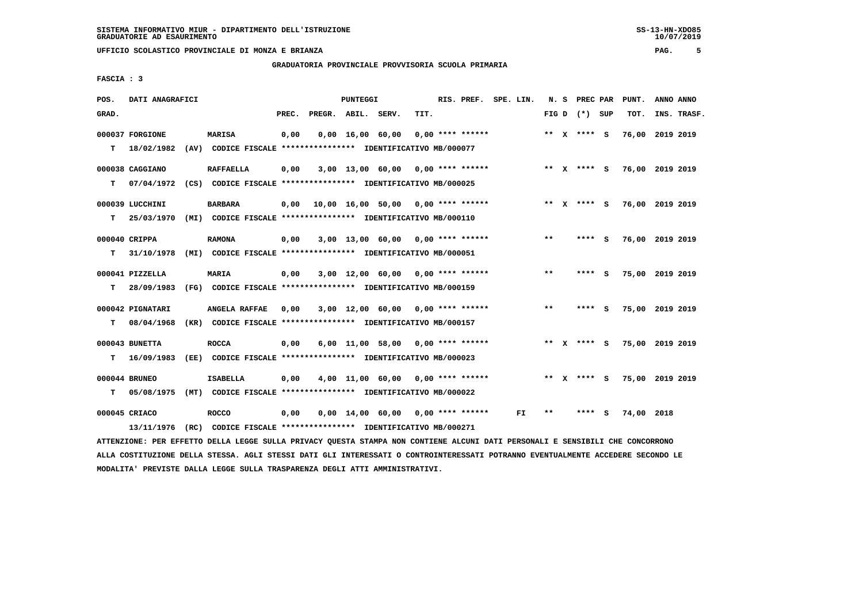**GRADUATORIA PROVINCIALE PROVVISORIA SCUOLA PRIMARIA**

 **FASCIA : 3**

| POS.  | DATI ANAGRAFICI  |                                                               |       |                    | <b>PUNTEGGI</b> |                                                  |      | RIS. PREF. SPE. LIN. |     | N. S  | <b>PREC PAR</b> |   | PUNT.           | ANNO ANNO |             |
|-------|------------------|---------------------------------------------------------------|-------|--------------------|-----------------|--------------------------------------------------|------|----------------------|-----|-------|-----------------|---|-----------------|-----------|-------------|
| GRAD. |                  |                                                               | PREC. | PREGR. ABIL. SERV. |                 |                                                  | TIT. |                      |     |       | FIG D $(*)$ SUP |   | TOT.            |           | INS. TRASF. |
|       | 000037 FORGIONE  | <b>MARISA</b>                                                 | 0,00  |                    |                 | $0,00 \quad 16,00 \quad 60,00$                   |      | $0,00$ **** ******   |     |       | ** x **** S     |   | 76,00 2019 2019 |           |             |
| т     | 18/02/1982       | (AV) CODICE FISCALE **************** IDENTIFICATIVO MB/000077 |       |                    |                 |                                                  |      |                      |     |       |                 |   |                 |           |             |
|       | 000038 CAGGIANO  | <b>RAFFAELLA</b>                                              | 0,00  |                    |                 | $3,00$ 13,00 60,00 0,00 **** ******              |      |                      |     |       | ** X **** S     |   | 76,00 2019 2019 |           |             |
| т     | 07/04/1972       | (CS) CODICE FISCALE **************** IDENTIFICATIVO MB/000025 |       |                    |                 |                                                  |      |                      |     |       |                 |   |                 |           |             |
|       | 000039 LUCCHINI  | <b>BARBARA</b>                                                | 0,00  |                    |                 | $10,00$ $16,00$ $50,00$ $0,00$ $***$ **** ****** |      |                      |     |       | ** $X$ **** S   |   | 76,00 2019 2019 |           |             |
| т     | 25/03/1970       | (MI) CODICE FISCALE **************** IDENTIFICATIVO MB/000110 |       |                    |                 |                                                  |      |                      |     |       |                 |   |                 |           |             |
|       | 000040 CRIPPA    | <b>RAMONA</b>                                                 | 0,00  |                    |                 | $3,00$ 13,00 60,00 0,00 **** ******              |      |                      |     | $***$ | **** S          |   | 76,00 2019 2019 |           |             |
| т     | 31/10/1978       | (MI) CODICE FISCALE **************** IDENTIFICATIVO MB/000051 |       |                    |                 |                                                  |      |                      |     |       |                 |   |                 |           |             |
|       | 000041 PIZZELLA  | <b>MARIA</b>                                                  | 0,00  |                    |                 | $3,00$ 12,00 60,00 0,00 **** ******              |      |                      |     | $* *$ | **** S          |   | 75,00 2019 2019 |           |             |
| т     | 28/09/1983       | (FG) CODICE FISCALE **************** IDENTIFICATIVO MB/000159 |       |                    |                 |                                                  |      |                      |     |       |                 |   |                 |           |             |
|       | 000042 PIGNATARI | ANGELA RAFFAE                                                 | 0,00  |                    |                 | $3,00$ 12,00 60,00 0,00 **** ******              |      |                      |     | $***$ | **** S          |   | 75,00 2019 2019 |           |             |
| т     | 08/04/1968       | (KR) CODICE FISCALE **************** IDENTIFICATIVO MB/000157 |       |                    |                 |                                                  |      |                      |     |       |                 |   |                 |           |             |
|       | 000043 BUNETTA   | <b>ROCCA</b>                                                  | 0,00  |                    |                 | $6,00$ 11,00 58,00 0,00 **** ******              |      |                      |     |       | ** X **** S     |   | 75,00 2019 2019 |           |             |
| т     | 16/09/1983       | (EE) CODICE FISCALE **************** IDENTIFICATIVO MB/000023 |       |                    |                 |                                                  |      |                      |     |       |                 |   |                 |           |             |
|       | 000044 BRUNEO    | <b>ISABELLA</b>                                               | 0,00  |                    |                 | $4,00$ 11,00 60,00 0,00 **** ******              |      |                      |     |       | ** x **** s     |   | 75,00 2019 2019 |           |             |
| т     | 05/08/1975       | (MT) CODICE FISCALE **************** IDENTIFICATIVO MB/000022 |       |                    |                 |                                                  |      |                      |     |       |                 |   |                 |           |             |
|       | 000045 CRIACO    | <b>ROCCO</b>                                                  | 0,00  |                    |                 | $0,00$ 14,00 60,00 0,00 **** ******              |      |                      | FI. | **    | ****            | s | 74,00           | 2018      |             |
|       | 13/11/1976       | (RC) CODICE FISCALE **************** IDENTIFICATIVO MB/000271 |       |                    |                 |                                                  |      |                      |     |       |                 |   |                 |           |             |

 **ATTENZIONE: PER EFFETTO DELLA LEGGE SULLA PRIVACY QUESTA STAMPA NON CONTIENE ALCUNI DATI PERSONALI E SENSIBILI CHE CONCORRONO ALLA COSTITUZIONE DELLA STESSA. AGLI STESSI DATI GLI INTERESSATI O CONTROINTERESSATI POTRANNO EVENTUALMENTE ACCEDERE SECONDO LE MODALITA' PREVISTE DALLA LEGGE SULLA TRASPARENZA DEGLI ATTI AMMINISTRATIVI.**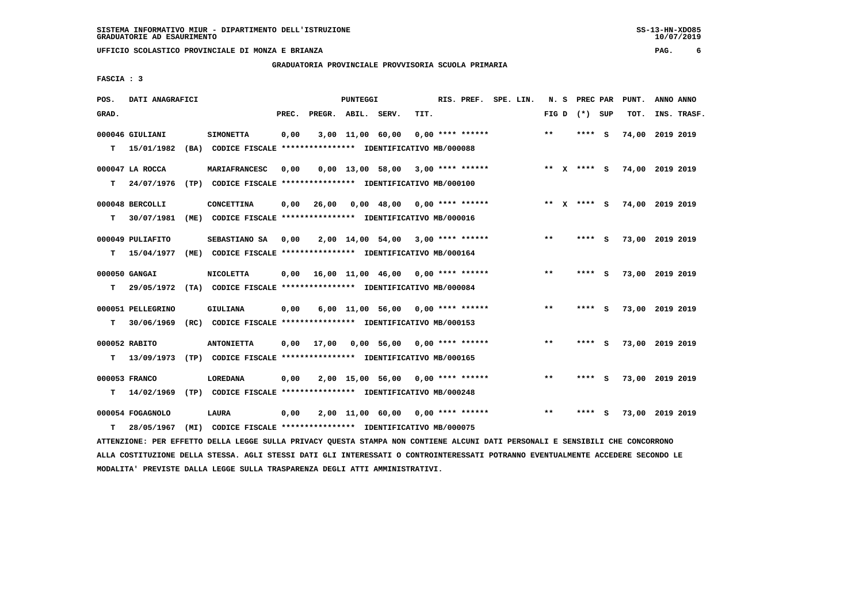**GRADUATORIA PROVINCIALE PROVVISORIA SCUOLA PRIMARIA**

 **FASCIA : 3**

| POS.  | DATI ANAGRAFICI   |                                                                                                                               |       |                    | PUNTEGGI |                                     |      |                    | RIS. PREF. SPE. LIN. |       | N. S PREC PAR   |     | PUNT.           | ANNO ANNO |             |
|-------|-------------------|-------------------------------------------------------------------------------------------------------------------------------|-------|--------------------|----------|-------------------------------------|------|--------------------|----------------------|-------|-----------------|-----|-----------------|-----------|-------------|
| GRAD. |                   |                                                                                                                               | PREC. | PREGR. ABIL. SERV. |          |                                     | TIT. |                    |                      |       | FIG D $(*)$ SUP |     | TOT.            |           | INS. TRASF. |
|       | 000046 GIULIANI   | <b>SIMONETTA</b>                                                                                                              | 0,00  |                    |          | 3,00 11,00 60,00                    |      | $0.00$ **** ****** |                      | $***$ | ****            | - S | 74,00           | 2019 2019 |             |
| т     | 15/01/1982        | (BA) CODICE FISCALE **************** IDENTIFICATIVO MB/000088                                                                 |       |                    |          |                                     |      |                    |                      |       |                 |     |                 |           |             |
|       | 000047 LA ROCCA   | MARIAFRANCESC                                                                                                                 | 0.00  |                    |          | $0.00$ 13.00 58.00 3.00 **** ****** |      |                    |                      |       | ** x **** S     |     | 74,00 2019 2019 |           |             |
| т     | 24/07/1976        | (TP) CODICE FISCALE **************** IDENTIFICATIVO MB/000100                                                                 |       |                    |          |                                     |      |                    |                      |       |                 |     |                 |           |             |
|       | 000048 BERCOLLI   | CONCETTINA                                                                                                                    | 0,00  | 26,00              |          | $0,00$ 48,00 0,00 **** ******       |      |                    |                      |       | ** x **** S     |     | 74,00 2019 2019 |           |             |
| т     | 30/07/1981        | (ME) CODICE FISCALE **************** IDENTIFICATIVO MB/000016                                                                 |       |                    |          |                                     |      |                    |                      |       |                 |     |                 |           |             |
|       | 000049 PULIAFITO  | SEBASTIANO SA                                                                                                                 | 0,00  |                    |          | 2,00 14,00 54,00 3,00 **** ******   |      |                    |                      | $* *$ | **** S          |     | 73,00 2019 2019 |           |             |
| т     | 15/04/1977        | (ME) CODICE FISCALE **************** IDENTIFICATIVO MB/000164                                                                 |       |                    |          |                                     |      |                    |                      |       |                 |     |                 |           |             |
|       | 000050 GANGAI     | <b>NICOLETTA</b>                                                                                                              | 0,00  |                    |          | 16,00 11,00 46,00 0,00 **** ******  |      |                    |                      | $* *$ | **** S          |     | 73,00 2019 2019 |           |             |
| т     |                   | 29/05/1972 (TA) CODICE FISCALE **************** IDENTIFICATIVO MB/000084                                                      |       |                    |          |                                     |      |                    |                      |       |                 |     |                 |           |             |
|       | 000051 PELLEGRINO | <b>GIULIANA</b>                                                                                                               | 0,00  |                    |          | $6,00$ 11,00 56,00 0,00 **** ****** |      |                    |                      | **    | ****            | - S | 73,00 2019 2019 |           |             |
| т     | 30/06/1969        | (RC) CODICE FISCALE **************** IDENTIFICATIVO MB/000153                                                                 |       |                    |          |                                     |      |                    |                      |       |                 |     |                 |           |             |
|       | 000052 RABITO     | <b>ANTONIETTA</b>                                                                                                             | 0.00  | 17,00              |          | $0.00$ 56.00 0.00 **** ******       |      |                    |                      | $* *$ | ****            | - S | 73,00 2019 2019 |           |             |
| т     | 13/09/1973        | (TP) CODICE FISCALE **************** IDENTIFICATIVO MB/000165                                                                 |       |                    |          |                                     |      |                    |                      |       |                 |     |                 |           |             |
|       | 000053 FRANCO     | <b>LOREDANA</b>                                                                                                               | 0,00  |                    |          | $2,00$ 15,00 56,00 0,00 **** ****** |      |                    |                      | $**$  | **** S          |     | 73,00 2019 2019 |           |             |
| т     | 14/02/1969        | (TP) CODICE FISCALE **************** IDENTIFICATIVO MB/000248                                                                 |       |                    |          |                                     |      |                    |                      |       |                 |     |                 |           |             |
|       | 000054 FOGAGNOLO  | <b>LAURA</b>                                                                                                                  | 0,00  |                    |          | $2,00$ 11,00 60,00 0,00 **** ****** |      |                    |                      | $* *$ |                 | - S | 73,00 2019 2019 |           |             |
| т     | 28/05/1967        | (MI) CODICE FISCALE **************** IDENTIFICATIVO MB/000075                                                                 |       |                    |          |                                     |      |                    |                      |       |                 |     |                 |           |             |
|       |                   | ATTENZIONE: PER EFFETTO DELLA LEGGE SULLA PRIVACY QUESTA STAMPA NON CONTIENE ALCUNI DATI PERSONALI E SENSIBILI CHE CONCORRONO |       |                    |          |                                     |      |                    |                      |       |                 |     |                 |           |             |

 **ALLA COSTITUZIONE DELLA STESSA. AGLI STESSI DATI GLI INTERESSATI O CONTROINTERESSATI POTRANNO EVENTUALMENTE ACCEDERE SECONDO LE MODALITA' PREVISTE DALLA LEGGE SULLA TRASPARENZA DEGLI ATTI AMMINISTRATIVI.**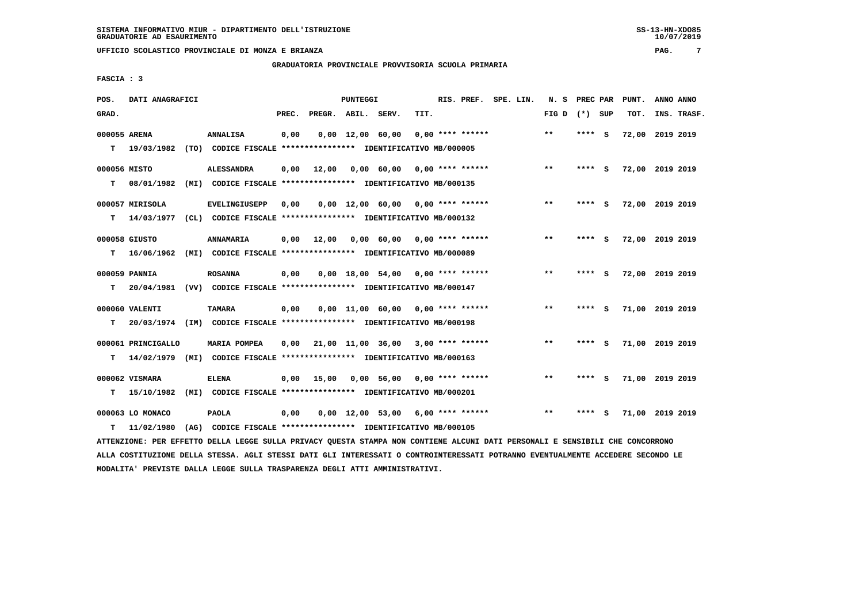**GRADUATORIA PROVINCIALE PROVVISORIA SCUOLA PRIMARIA**

 **FASCIA : 3**

| POS.         | DATI ANAGRAFICI    |                                                                                                                               |       |                    | PUNTEGGI                       |                                     |      |                    | RIS. PREF. SPE. LIN. | N. S PREC PAR   |        |     | PUNT.           | ANNO ANNO |             |
|--------------|--------------------|-------------------------------------------------------------------------------------------------------------------------------|-------|--------------------|--------------------------------|-------------------------------------|------|--------------------|----------------------|-----------------|--------|-----|-----------------|-----------|-------------|
| GRAD.        |                    |                                                                                                                               | PREC. | PREGR. ABIL. SERV. |                                |                                     | TIT. |                    |                      | FIG D $(*)$ SUP |        |     | TOT.            |           | INS. TRASF. |
| 000055 ARENA |                    | <b>ANNALISA</b>                                                                                                               | 0,00  |                    | $0,00 \quad 12,00 \quad 60,00$ |                                     |      | $0.00$ **** ****** |                      | $***$           | ****   | - S | 72,00           | 2019 2019 |             |
| т            | 19/03/1982         | (TO) CODICE FISCALE *************** IDENTIFICATIVO MB/000005                                                                  |       |                    |                                |                                     |      |                    |                      |                 |        |     |                 |           |             |
| 000056 MISTO |                    | <b>ALESSANDRA</b>                                                                                                             | 0,00  | 12,00              |                                | $0,00$ 60,00 0,00 **** ******       |      |                    |                      | $***$           | **** S |     | 72,00 2019 2019 |           |             |
| т            | 08/01/1982         | (MI) CODICE FISCALE **************** IDENTIFICATIVO MB/000135                                                                 |       |                    |                                |                                     |      |                    |                      |                 |        |     |                 |           |             |
|              | 000057 MIRISOLA    | <b>EVELINGIUSEPP</b>                                                                                                          | 0,00  |                    |                                | $0,00$ 12,00 60,00 0,00 **** ****** |      |                    |                      | $***$           | **** S |     | 72,00 2019 2019 |           |             |
| т            | 14/03/1977         | (CL) CODICE FISCALE **************** IDENTIFICATIVO MB/000132                                                                 |       |                    |                                |                                     |      |                    |                      |                 |        |     |                 |           |             |
|              | 000058 GIUSTO      | <b>ANNAMARIA</b>                                                                                                              | 0,00  | 12,00              |                                | 0,00 60,00 0,00 **** ******         |      |                    |                      | $***$           | **** S |     | 72,00 2019 2019 |           |             |
| т            | 16/06/1962         | (MI) CODICE FISCALE **************** IDENTIFICATIVO MB/000089                                                                 |       |                    |                                |                                     |      |                    |                      |                 |        |     |                 |           |             |
|              | 000059 PANNIA      | <b>ROSANNA</b>                                                                                                                | 0,00  |                    |                                | $0,00$ 18,00 54,00 0,00 **** ****** |      |                    |                      | **              | **** S |     | 72,00 2019 2019 |           |             |
| т            |                    | 20/04/1981 (VV) CODICE FISCALE **************** IDENTIFICATIVO MB/000147                                                      |       |                    |                                |                                     |      |                    |                      |                 |        |     |                 |           |             |
|              | 000060 VALENTI     | <b>TAMARA</b>                                                                                                                 | 0,00  |                    |                                | $0,00$ 11,00 60,00 0,00 **** ****** |      |                    |                      | $* *$           | ****   | - S | 71,00 2019 2019 |           |             |
| T.           |                    | 20/03/1974 (IM) CODICE FISCALE **************** IDENTIFICATIVO MB/000198                                                      |       |                    |                                |                                     |      |                    |                      |                 |        |     |                 |           |             |
|              | 000061 PRINCIGALLO | <b>MARIA POMPEA</b>                                                                                                           | 0,00  |                    |                                | 21,00 11,00 36,00 3,00 **** ******  |      |                    |                      | $***$           | **** S |     | 71,00 2019 2019 |           |             |
| т            |                    | 14/02/1979 (MI) CODICE FISCALE **************** IDENTIFICATIVO MB/000163                                                      |       |                    |                                |                                     |      |                    |                      |                 |        |     |                 |           |             |
|              | 000062 VISMARA     | <b>ELENA</b>                                                                                                                  | 0,00  | 15,00              |                                | $0,00$ 56,00 0,00 **** ******       |      |                    |                      | $**$            | **** S |     | 71,00 2019 2019 |           |             |
| т            | 15/10/1982         | (MI) CODICE FISCALE **************** IDENTIFICATIVO MB/000201                                                                 |       |                    |                                |                                     |      |                    |                      |                 |        |     |                 |           |             |
|              | 000063 LO MONACO   | <b>PAOLA</b>                                                                                                                  | 0,00  |                    |                                | $0,00$ 12,00 53,00 6,00 **** ****** |      |                    |                      | $***$           | ****   | s   | 71,00 2019 2019 |           |             |
| T.           | 11/02/1980         | (AG) CODICE FISCALE **************** IDENTIFICATIVO MB/000105                                                                 |       |                    |                                |                                     |      |                    |                      |                 |        |     |                 |           |             |
|              |                    | ATTENZIONE: PER EFFETTO DELLA LEGGE SULLA PRIVACY QUESTA STAMPA NON CONTIENE ALCUNI DATI PERSONALI E SENSIBILI CHE CONCORRONO |       |                    |                                |                                     |      |                    |                      |                 |        |     |                 |           |             |

 **ALLA COSTITUZIONE DELLA STESSA. AGLI STESSI DATI GLI INTERESSATI O CONTROINTERESSATI POTRANNO EVENTUALMENTE ACCEDERE SECONDO LE MODALITA' PREVISTE DALLA LEGGE SULLA TRASPARENZA DEGLI ATTI AMMINISTRATIVI.**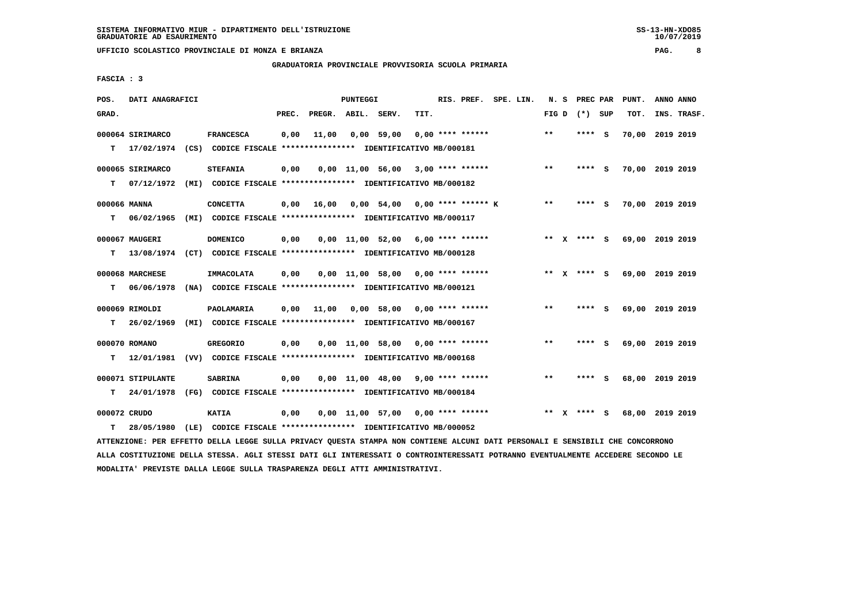**GRADUATORIA PROVINCIALE PROVVISORIA SCUOLA PRIMARIA**

 **FASCIA : 3**

| POS.         | DATI ANAGRAFICI   |      |                                                                                                                                   |       |                    | <b>PUNTEGGI</b> |                                     |                    | RIS. PREF.         | SPE. LIN. | N.S   | PREC PAR      |          | PUNT.           | ANNO ANNO |             |
|--------------|-------------------|------|-----------------------------------------------------------------------------------------------------------------------------------|-------|--------------------|-----------------|-------------------------------------|--------------------|--------------------|-----------|-------|---------------|----------|-----------------|-----------|-------------|
| GRAD.        |                   |      |                                                                                                                                   | PREC. | PREGR. ABIL. SERV. |                 |                                     | TIT.               |                    |           | FIG D | $(*)$         | SUP      | TOT.            |           | INS. TRASF. |
|              | 000064 SIRIMARCO  |      | <b>FRANCESCA</b>                                                                                                                  | 0,00  | 11,00              |                 | $0,00$ 59,00                        |                    | $0.00$ **** ****** |           | $***$ | ****          | - S      | 70,00           | 2019 2019 |             |
| т            | 17/02/1974        |      | (CS) CODICE FISCALE **************** IDENTIFICATIVO MB/000181                                                                     |       |                    |                 |                                     |                    |                    |           |       |               |          |                 |           |             |
|              |                   |      |                                                                                                                                   |       |                    |                 |                                     |                    |                    |           |       |               |          |                 |           |             |
|              | 000065 SIRIMARCO  |      | <b>STEFANIA</b>                                                                                                                   | 0,00  |                    |                 | $0,00$ $11,00$ $56,00$              |                    | $3.00$ **** ****** |           | $* *$ | ****          | s        | 70,00           | 2019 2019 |             |
| т            | 07/12/1972        |      | (MI) CODICE FISCALE **************** IDENTIFICATIVO MB/000182                                                                     |       |                    |                 |                                     |                    |                    |           |       |               |          |                 |           |             |
| 000066 MANNA |                   |      | <b>CONCETTA</b>                                                                                                                   | 0,00  | 16,00              |                 | $0.00$ 54.00 0.00 **** ****** K     |                    |                    |           | $***$ | $***$ S       |          | 70,00 2019 2019 |           |             |
| т            | 06/02/1965        |      | (MI) CODICE FISCALE **************** IDENTIFICATIVO MB/000117                                                                     |       |                    |                 |                                     |                    |                    |           |       |               |          |                 |           |             |
|              |                   |      |                                                                                                                                   |       |                    |                 |                                     |                    |                    |           |       |               |          |                 |           |             |
|              | 000067 MAUGERI    |      | <b>DOMENICO</b>                                                                                                                   | 0,00  |                    |                 | 0,00 11,00 52,00                    |                    | $6,00$ **** ****** |           |       | ** X **** S   |          | 69,00 2019 2019 |           |             |
| т            | 13/08/1974        |      | (CT) CODICE FISCALE **************** IDENTIFICATIVO MB/000128                                                                     |       |                    |                 |                                     |                    |                    |           |       |               |          |                 |           |             |
|              | 000068 MARCHESE   |      | <b>IMMACOLATA</b>                                                                                                                 | 0,00  |                    |                 | $0,00$ $11,00$ 58,00                | $0.00$ **** ****** |                    |           |       | ** $X$ **** S |          | 69,00 2019 2019 |           |             |
| т            | 06/06/1978        |      | (NA) CODICE FISCALE **************** IDENTIFICATIVO MB/000121                                                                     |       |                    |                 |                                     |                    |                    |           |       |               |          |                 |           |             |
|              | 000069 RIMOLDI    |      | <b>PAOLAMARIA</b>                                                                                                                 | 0,00  | 11,00              |                 | $0.00$ 58,00 0.00 **** ******       |                    |                    |           | $* *$ | ****          | - S      | 69,00           | 2019 2019 |             |
|              |                   |      |                                                                                                                                   |       |                    |                 |                                     |                    |                    |           |       |               |          |                 |           |             |
| T.           | 26/02/1969        |      | (MI) CODICE FISCALE **************** IDENTIFICATIVO MB/000167                                                                     |       |                    |                 |                                     |                    |                    |           |       |               |          |                 |           |             |
|              | 000070 ROMANO     |      | <b>GREGORIO</b>                                                                                                                   | 0,00  |                    |                 | $0,00$ 11,00 58,00 0,00 **** ****** |                    |                    |           | $* *$ | ****          | S.       | 69,00 2019 2019 |           |             |
| т            | 12/01/1981        |      | (VV) CODICE FISCALE **************** IDENTIFICATIVO MB/000168                                                                     |       |                    |                 |                                     |                    |                    |           |       |               |          |                 |           |             |
|              |                   |      |                                                                                                                                   |       |                    |                 |                                     |                    |                    |           |       |               |          |                 |           |             |
|              | 000071 STIPULANTE |      | <b>SABRINA</b>                                                                                                                    | 0,00  |                    |                 | 0,00 11,00 48,00                    |                    | $9,00$ **** ****** |           | $* *$ | ****          | <b>S</b> | 68,00           | 2019 2019 |             |
| т            | 24/01/1978        |      | (FG) CODICE FISCALE **************** IDENTIFICATIVO MB/000184                                                                     |       |                    |                 |                                     |                    |                    |           |       |               |          |                 |           |             |
| 000072 CRUDO |                   |      | <b>KATIA</b>                                                                                                                      | 0,00  |                    |                 | $0.00$ 11.00 57.00 0.00 **** ****** |                    |                    |           |       | ** x **** S   |          | 68,00 2019 2019 |           |             |
| т            | 28/05/1980        | (LE) | CODICE FISCALE **************** IDENTIFICATIVO MB/000052                                                                          |       |                    |                 |                                     |                    |                    |           |       |               |          |                 |           |             |
|              |                   |      | LAARINGTANG, AND MARIAANA ANTIL THAAR ANTIL ARTHLAN ANIMAL AANIL NAN AANWERNG LEANIT BLAT ARD AANTILET A ANILATATE AND AANAARBANA |       |                    |                 |                                     |                    |                    |           |       |               |          |                 |           |             |

 **ATTENZIONE: PER EFFETTO DELLA LEGGE SULLA PRIVACY QUESTA STAMPA NON CONTIENE ALCUNI DATI PERSONALI E SENSIBILI CHE CONCORRONO ALLA COSTITUZIONE DELLA STESSA. AGLI STESSI DATI GLI INTERESSATI O CONTROINTERESSATI POTRANNO EVENTUALMENTE ACCEDERE SECONDO LE MODALITA' PREVISTE DALLA LEGGE SULLA TRASPARENZA DEGLI ATTI AMMINISTRATIVI.**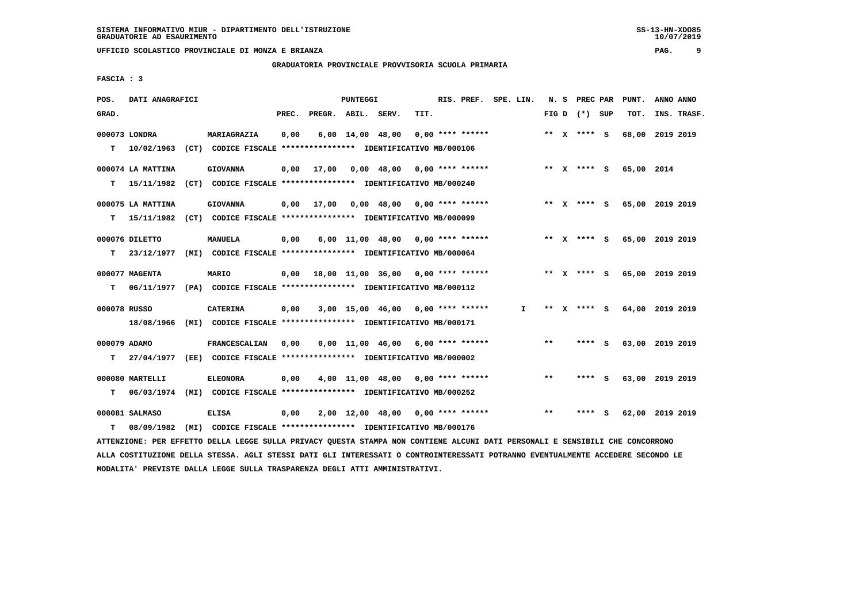**GRADUATORIA PROVINCIALE PROVVISORIA SCUOLA PRIMARIA**

 **FASCIA : 3**

| POS.         | DATI ANAGRAFICI   |                                                                                                                               |       |                    | PUNTEGGI |                                                   |      | RIS. PREF. SPE. LIN. |              |       |                 | N. S PREC PAR PUNT.         | ANNO ANNO |             |
|--------------|-------------------|-------------------------------------------------------------------------------------------------------------------------------|-------|--------------------|----------|---------------------------------------------------|------|----------------------|--------------|-------|-----------------|-----------------------------|-----------|-------------|
| GRAD.        |                   |                                                                                                                               | PREC. | PREGR. ABIL. SERV. |          |                                                   | TIT. |                      |              |       | FIG D $(*)$ SUP | TOT.                        |           | INS. TRASF. |
|              | 000073 LONDRA     | MARIAGRAZIA                                                                                                                   | 0,00  |                    |          | $6,00$ $14,00$ $48,00$                            |      | 0,00 **** ******     |              |       | ** x **** S     | 68,00 2019 2019             |           |             |
| т            | 10/02/1963        | (CT) CODICE FISCALE **************** IDENTIFICATIVO MB/000106                                                                 |       |                    |          |                                                   |      |                      |              |       |                 |                             |           |             |
|              | 000074 LA MATTINA | <b>GIOVANNA</b>                                                                                                               | 0,00  | 17,00              |          | $0.00 \quad 48.00 \quad 0.00 \quad *** \quad ***$ |      |                      |              |       | ** x **** s     | 65,00 2014                  |           |             |
| т            |                   | 15/11/1982 (CT) CODICE FISCALE **************** IDENTIFICATIVO MB/000240                                                      |       |                    |          |                                                   |      |                      |              |       |                 |                             |           |             |
|              | 000075 LA MATTINA | <b>GIOVANNA</b>                                                                                                               |       |                    |          | $0,00$ 17,00 0,00 48,00 0,00 **** ******          |      |                      |              |       |                 | ** X **** S 65,00 2019 2019 |           |             |
| т            |                   | 15/11/1982 (CT) CODICE FISCALE *************** IDENTIFICATIVO MB/000099                                                       |       |                    |          |                                                   |      |                      |              |       |                 |                             |           |             |
|              | 000076 DILETTO    | MANUELA                                                                                                                       | 0,00  |                    |          | $6,00$ 11,00 48,00 0,00 **** ******               |      |                      |              |       |                 | ** X **** S 65,00 2019 2019 |           |             |
| т            |                   | 23/12/1977 (MI) CODICE FISCALE *************** IDENTIFICATIVO MB/000064                                                       |       |                    |          |                                                   |      |                      |              |       |                 |                             |           |             |
|              | 000077 MAGENTA    | <b>MARIO</b>                                                                                                                  |       |                    |          | $0,00$ 18,00 11,00 36,00 0,00 **** ******         |      |                      |              |       |                 | ** X **** S 65,00 2019 2019 |           |             |
| т            |                   | 06/11/1977 (PA) CODICE FISCALE *************** IDENTIFICATIVO MB/000112                                                       |       |                    |          |                                                   |      |                      |              |       |                 |                             |           |             |
| 000078 RUSSO |                   | <b>CATERINA</b>                                                                                                               | 0,00  |                    |          | $3,00$ 15,00 46,00 0,00 **** ******               |      |                      | $\mathbf{I}$ |       |                 | ** X **** S 64,00 2019 2019 |           |             |
|              |                   | 18/08/1966 (MI) CODICE FISCALE *************** IDENTIFICATIVO MB/000171                                                       |       |                    |          |                                                   |      |                      |              |       |                 |                             |           |             |
| 000079 ADAMO |                   | <b>FRANCESCALIAN</b>                                                                                                          | 0,00  |                    |          | $0,00$ 11,00 46,00 6,00 **** ******               |      |                      |              | **    | **** S          | 63,00 2019 2019             |           |             |
| т            |                   | 27/04/1977 (EE) CODICE FISCALE **************** IDENTIFICATIVO MB/000002                                                      |       |                    |          |                                                   |      |                      |              |       |                 |                             |           |             |
|              | 000080 MARTELLI   | <b>ELEONORA</b>                                                                                                               | 0,00  |                    |          | $4,00$ 11,00 48,00 0,00 **** ******               |      |                      |              | $***$ | **** S          | 63,00 2019 2019             |           |             |
| т            | 06/03/1974        | (MI) CODICE FISCALE **************** IDENTIFICATIVO MB/000252                                                                 |       |                    |          |                                                   |      |                      |              |       |                 |                             |           |             |
|              | 000081 SALMASO    | <b>ELISA</b>                                                                                                                  | 0,00  |                    |          | $2,00$ 12,00 48,00 0,00 **** ******               |      |                      |              | $**$  | **** S          | 62,00 2019 2019             |           |             |
| т            | 08/09/1982        | (MI) CODICE FISCALE **************** IDENTIFICATIVO MB/000176                                                                 |       |                    |          |                                                   |      |                      |              |       |                 |                             |           |             |
|              |                   | ATTENZIONE: PER EFFETTO DELLA LEGGE SULLA PRIVACY QUESTA STAMPA NON CONTIENE ALCUNI DATI PERSONALI E SENSIBILI CHE CONCORRONO |       |                    |          |                                                   |      |                      |              |       |                 |                             |           |             |

 **ALLA COSTITUZIONE DELLA STESSA. AGLI STESSI DATI GLI INTERESSATI O CONTROINTERESSATI POTRANNO EVENTUALMENTE ACCEDERE SECONDO LE MODALITA' PREVISTE DALLA LEGGE SULLA TRASPARENZA DEGLI ATTI AMMINISTRATIVI.**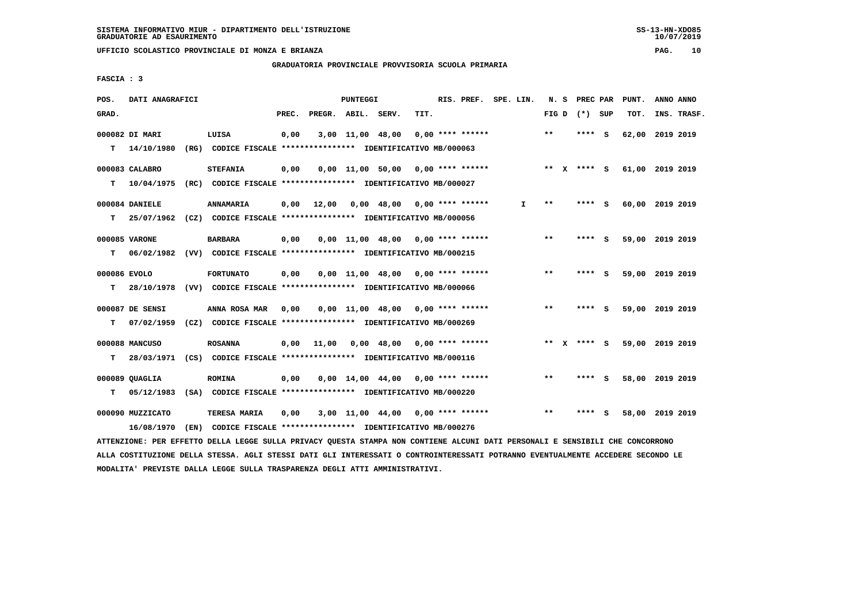**GRADUATORIA PROVINCIALE PROVVISORIA SCUOLA PRIMARIA**

 **FASCIA : 3**

| POS.         | DATI ANAGRAFICI  |      |                                                               |       |                    | <b>PUNTEGGI</b>  |                                                   |      | RIS. PREF.         | SPE. LIN. | N.S   |   | PREC PAR        |     | PUNT.           | ANNO ANNO |             |
|--------------|------------------|------|---------------------------------------------------------------|-------|--------------------|------------------|---------------------------------------------------|------|--------------------|-----------|-------|---|-----------------|-----|-----------------|-----------|-------------|
| GRAD.        |                  |      |                                                               | PREC. | PREGR. ABIL. SERV. |                  |                                                   | TIT. |                    |           |       |   | FIG D $(*)$ SUP |     | TOT.            |           | INS. TRASF. |
|              | 000082 DI MARI   |      | LUISA                                                         | 0,00  |                    | 3,00 11,00 48,00 |                                                   |      | $0.00$ **** ****** |           | $***$ |   | **** S          |     | 62,00           | 2019 2019 |             |
| т            | 14/10/1980       |      | (RG) CODICE FISCALE **************** IDENTIFICATIVO MB/000063 |       |                    |                  |                                                   |      |                    |           |       |   |                 |     |                 |           |             |
|              | 000083 CALABRO   |      | <b>STEFANIA</b>                                               | 0,00  |                    |                  | $0.00$ 11.00 50.00 0.00 **** ******               |      |                    |           | ** X  |   | **** S          |     | 61,00 2019 2019 |           |             |
| т            | 10/04/1975       |      | (RC) CODICE FISCALE **************** IDENTIFICATIVO MB/000027 |       |                    |                  |                                                   |      |                    |           |       |   |                 |     |                 |           |             |
|              | 000084 DANIELE   |      | ANNAMARIA                                                     | 0,00  | 12,00              |                  | $0,00$ 48,00 0,00 **** ******                     |      |                    | I.        | $* *$ |   | **** S          |     | 60,00 2019 2019 |           |             |
| т            | 25/07/1962       |      | (CZ) CODICE FISCALE **************** IDENTIFICATIVO MB/000056 |       |                    |                  |                                                   |      |                    |           |       |   |                 |     |                 |           |             |
|              | 000085 VARONE    |      | <b>BARBARA</b>                                                | 0,00  |                    |                  | $0.00$ 11.00 48.00 0.00 **** ******               |      |                    |           | $***$ |   | ****            | - S | 59,00 2019 2019 |           |             |
| т            | 06/02/1982       |      | (VV) CODICE FISCALE **************** IDENTIFICATIVO MB/000215 |       |                    |                  |                                                   |      |                    |           |       |   |                 |     |                 |           |             |
| 000086 EVOLO |                  |      | <b>FORTUNATO</b>                                              | 0,00  |                    |                  | $0,00$ 11,00 48,00 0,00 **** ******               |      |                    |           | $* *$ |   | ****            | - S | 59,00 2019 2019 |           |             |
| т            | 28/10/1978       |      | (VV) CODICE FISCALE **************** IDENTIFICATIVO MB/000066 |       |                    |                  |                                                   |      |                    |           |       |   |                 |     |                 |           |             |
|              | 000087 DE SENSI  |      | ANNA ROSA MAR                                                 | 0,00  |                    |                  | $0,00$ 11,00 48,00 0,00 **** ******               |      |                    |           | $* *$ |   | ****            | - S | 59,00 2019 2019 |           |             |
| т            | 07/02/1959       |      | (CZ) CODICE FISCALE **************** IDENTIFICATIVO MB/000269 |       |                    |                  |                                                   |      |                    |           |       |   |                 |     |                 |           |             |
|              | 000088 MANCUSO   |      | <b>ROSANNA</b>                                                | 0,00  | 11,00              |                  | $0.00 \quad 48.00 \quad 0.00 \quad *** \quad ***$ |      |                    |           | **    | x | **** S          |     | 59,00 2019 2019 |           |             |
| т            | 28/03/1971       |      | (CS) CODICE FISCALE **************** IDENTIFICATIVO MB/000116 |       |                    |                  |                                                   |      |                    |           |       |   |                 |     |                 |           |             |
|              | 000089 QUAGLIA   |      | <b>ROMINA</b>                                                 | 0,00  |                    |                  | $0,00$ 14,00 44,00 0,00 **** ******               |      |                    |           | **    |   | **** S          |     | 58,00 2019 2019 |           |             |
| T.           | 05/12/1983       |      | (SA) CODICE FISCALE **************** IDENTIFICATIVO MB/000220 |       |                    |                  |                                                   |      |                    |           |       |   |                 |     |                 |           |             |
|              | 000090 MUZZICATO |      | TERESA MARIA                                                  | 0,00  |                    |                  | 3,00 11,00 44,00                                  |      | $0.00$ **** ****** |           | $* *$ |   | ****            | - S | 58,00 2019 2019 |           |             |
|              | 16/08/1970       | (EN) | CODICE FISCALE **************** IDENTIFICATIVO MB/000276      |       |                    |                  |                                                   |      |                    |           |       |   |                 |     |                 |           |             |

 **ATTENZIONE: PER EFFETTO DELLA LEGGE SULLA PRIVACY QUESTA STAMPA NON CONTIENE ALCUNI DATI PERSONALI E SENSIBILI CHE CONCORRONO ALLA COSTITUZIONE DELLA STESSA. AGLI STESSI DATI GLI INTERESSATI O CONTROINTERESSATI POTRANNO EVENTUALMENTE ACCEDERE SECONDO LE MODALITA' PREVISTE DALLA LEGGE SULLA TRASPARENZA DEGLI ATTI AMMINISTRATIVI.**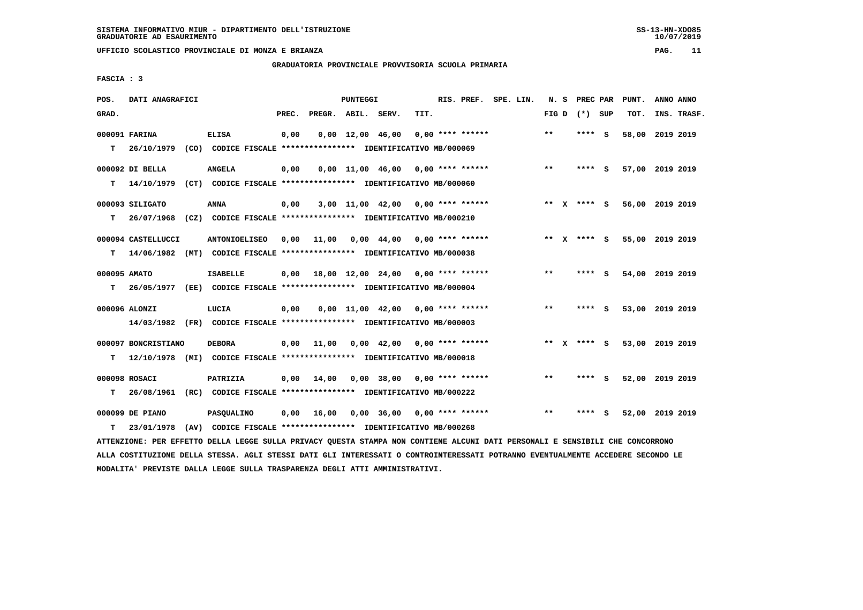**GRADUATORIA PROVINCIALE PROVVISORIA SCUOLA PRIMARIA**

 **FASCIA : 3**

| POS.         | DATI ANAGRAFICI     |                                                                                                                               |       |                                    | <b>PUNTEGGI</b>                |                                                   |      | RIS. PREF. SPE. LIN. |  |       | N. S PREC PAR     |     | PUNT.           | ANNO ANNO |             |
|--------------|---------------------|-------------------------------------------------------------------------------------------------------------------------------|-------|------------------------------------|--------------------------------|---------------------------------------------------|------|----------------------|--|-------|-------------------|-----|-----------------|-----------|-------------|
| GRAD.        |                     |                                                                                                                               | PREC. | PREGR. ABIL. SERV.                 |                                |                                                   | TIT. |                      |  |       | FIG $D$ $(*)$ SUP |     | TOT.            |           | INS. TRASF. |
|              | 000091 FARINA       | <b>ELISA</b>                                                                                                                  | 0,00  |                                    | $0,00 \quad 12,00 \quad 46,00$ |                                                   |      | $0,00$ **** ******   |  | $* *$ | **** S            |     | 58,00 2019 2019 |           |             |
| т            | 26/10/1979          | (CO) CODICE FISCALE **************** IDENTIFICATIVO MB/000069                                                                 |       |                                    |                                |                                                   |      |                      |  |       |                   |     |                 |           |             |
|              | 000092 DI BELLA     | <b>ANGELA</b>                                                                                                                 | 0,00  |                                    |                                | $0,00$ 11,00 46,00 0,00 **** ******               |      |                      |  | $***$ | **** S            |     | 57,00 2019 2019 |           |             |
| т            | 14/10/1979          | (CT) CODICE FISCALE **************** IDENTIFICATIVO MB/000060                                                                 |       |                                    |                                |                                                   |      |                      |  |       |                   |     |                 |           |             |
|              | 000093 SILIGATO     | <b>ANNA</b>                                                                                                                   | 0,00  |                                    |                                | $3,00$ 11,00 42,00 0,00 **** ******               |      |                      |  |       | ** x **** S       |     | 56,00 2019 2019 |           |             |
| т            |                     | 26/07/1968 (CZ) CODICE FISCALE **************** IDENTIFICATIVO MB/000210                                                      |       |                                    |                                |                                                   |      |                      |  |       |                   |     |                 |           |             |
|              | 000094 CASTELLUCCI  | <b>ANTONIOELISEO</b>                                                                                                          | 0,00  | 11,00                              |                                | $0,00$ 44,00 0,00 **** ******                     |      |                      |  |       | ** x **** S       |     | 55,00 2019 2019 |           |             |
| т            | 14/06/1982          | (MT) CODICE FISCALE **************** IDENTIFICATIVO MB/000038                                                                 |       |                                    |                                |                                                   |      |                      |  |       |                   |     |                 |           |             |
| 000095 AMATO |                     | <b>ISABELLE</b>                                                                                                               | 0,00  | 18,00 12,00 24,00 0,00 **** ****** |                                |                                                   |      |                      |  | $***$ | **** S            |     | 54,00 2019 2019 |           |             |
| т            |                     | 26/05/1977 (EE) CODICE FISCALE *************** IDENTIFICATIVO MB/000004                                                       |       |                                    |                                |                                                   |      |                      |  |       |                   |     |                 |           |             |
|              | 000096 ALONZI       | LUCIA                                                                                                                         | 0,00  |                                    |                                | $0.00$ 11.00 42.00 0.00 **** ******               |      |                      |  | $***$ | $***$ S           |     | 53,00 2019 2019 |           |             |
|              |                     | 14/03/1982 (FR) CODICE FISCALE *************** IDENTIFICATIVO MB/000003                                                       |       |                                    |                                |                                                   |      |                      |  |       |                   |     |                 |           |             |
|              | 000097 BONCRISTIANO | <b>DEBORA</b>                                                                                                                 | 0,00  | 11,00                              |                                | $0.00 \quad 42.00 \quad 0.00 \quad *** \quad ***$ |      |                      |  |       | ** $X$ **** S     |     | 53,00 2019 2019 |           |             |
| т            |                     | 12/10/1978 (MI) CODICE FISCALE **************** IDENTIFICATIVO MB/000018                                                      |       |                                    |                                |                                                   |      |                      |  |       |                   |     |                 |           |             |
|              | 000098 ROSACI       | PATRIZIA                                                                                                                      | 0.00  | 14,00                              |                                | $0.00$ 38.00 0.00 **** ******                     |      |                      |  | $***$ | **** S            |     | 52,00 2019 2019 |           |             |
| т            | 26/08/1961          | (RC) CODICE FISCALE *************** IDENTIFICATIVO MB/000222                                                                  |       |                                    |                                |                                                   |      |                      |  |       |                   |     |                 |           |             |
|              | 000099 DE PIANO     | <b>PASQUALINO</b>                                                                                                             | 0,00  | 16,00                              |                                | $0,00$ 36,00 0,00 **** ******                     |      |                      |  | $**$  | ****              | - S | 52,00 2019 2019 |           |             |
| т            | 23/01/1978          | (AV) CODICE FISCALE **************** IDENTIFICATIVO MB/000268                                                                 |       |                                    |                                |                                                   |      |                      |  |       |                   |     |                 |           |             |
|              |                     | ATTENZIONE: PER EFFETTO DELLA LEGGE SULLA PRIVACY QUESTA STAMPA NON CONTIENE ALCUNI DATI PERSONALI E SENSIBILI CHE CONCORRONO |       |                                    |                                |                                                   |      |                      |  |       |                   |     |                 |           |             |

 **ALLA COSTITUZIONE DELLA STESSA. AGLI STESSI DATI GLI INTERESSATI O CONTROINTERESSATI POTRANNO EVENTUALMENTE ACCEDERE SECONDO LE MODALITA' PREVISTE DALLA LEGGE SULLA TRASPARENZA DEGLI ATTI AMMINISTRATIVI.**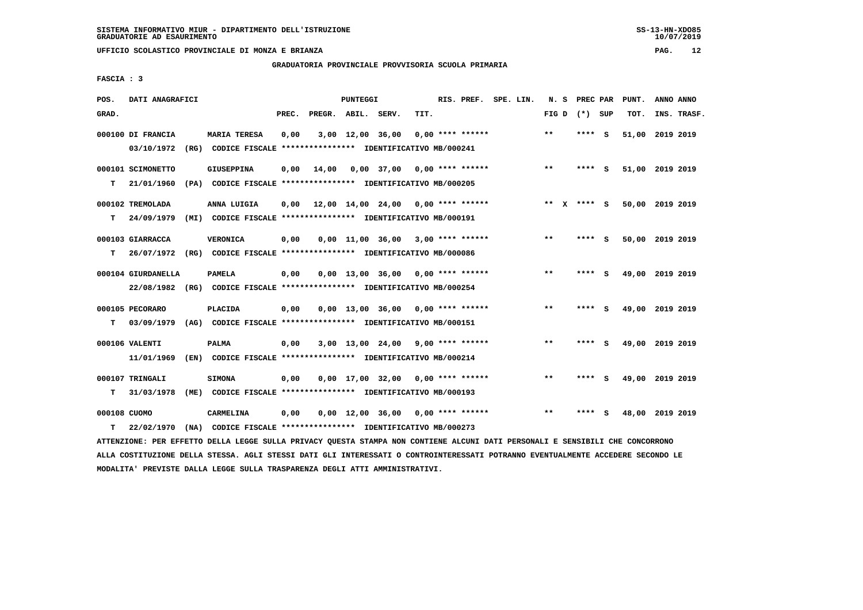**GRADUATORIA PROVINCIALE PROVVISORIA SCUOLA PRIMARIA**

 **FASCIA : 3**

| POS.         | DATI ANAGRAFICI    |      |                                                                                                                               |       |                    | PUNTEGGI |                                     |      |                    | RIS. PREF. SPE. LIN. | N.S     | PREC PAR        |          | PUNT.           | ANNO ANNO |             |
|--------------|--------------------|------|-------------------------------------------------------------------------------------------------------------------------------|-------|--------------------|----------|-------------------------------------|------|--------------------|----------------------|---------|-----------------|----------|-----------------|-----------|-------------|
| GRAD.        |                    |      |                                                                                                                               | PREC. | PREGR. ABIL. SERV. |          |                                     | TIT. |                    |                      |         | FIG D $(*)$ SUP |          | TOT.            |           | INS. TRASF. |
|              | 000100 DI FRANCIA  |      | <b>MARIA TERESA</b>                                                                                                           | 0,00  |                    |          | 3,00 12,00 36,00                    |      | $0.00$ **** ****** |                      | $***$   | ****            | - S      | 51,00           | 2019 2019 |             |
|              | 03/10/1972         |      | (RG) CODICE FISCALE **************** IDENTIFICATIVO MB/000241                                                                 |       |                    |          |                                     |      |                    |                      |         |                 |          |                 |           |             |
|              | 000101 SCIMONETTO  |      | <b>GIUSEPPINA</b>                                                                                                             | 0,00  | 14,00              |          | 0,00 37,00                          |      | $0.00$ **** ****** |                      | $* *$   | ****            | - S      | 51,00 2019 2019 |           |             |
| т            | 21/01/1960         |      | (PA) CODICE FISCALE **************** IDENTIFICATIVO MB/000205                                                                 |       |                    |          |                                     |      |                    |                      |         |                 |          |                 |           |             |
|              | 000102 TREMOLADA   |      | ANNA LUIGIA                                                                                                                   | 0,00  |                    |          | 12,00 14,00 24,00                   |      | $0.00$ **** ****** |                      | $***$ X | $***$ S         |          | 50,00 2019 2019 |           |             |
| т            | 24/09/1979         |      | (MI) CODICE FISCALE **************** IDENTIFICATIVO MB/000191                                                                 |       |                    |          |                                     |      |                    |                      |         |                 |          |                 |           |             |
|              | 000103 GIARRACCA   |      | <b>VERONICA</b>                                                                                                               | 0,00  |                    |          | $0,00$ 11,00 36,00 3,00 **** ****** |      |                    |                      | $**$    | ****            | - S      | 50,00 2019 2019 |           |             |
| т            | 26/07/1972         |      | (RG) CODICE FISCALE **************** IDENTIFICATIVO MB/000086                                                                 |       |                    |          |                                     |      |                    |                      |         |                 |          |                 |           |             |
|              | 000104 GIURDANELLA |      | <b>PAMELA</b>                                                                                                                 | 0,00  |                    |          | 0,00 13,00 36,00                    |      | $0.00$ **** ****** |                      | $***$   | ****            | - S      | 49,00 2019 2019 |           |             |
|              | 22/08/1982         |      | (RG) CODICE FISCALE **************** IDENTIFICATIVO MB/000254                                                                 |       |                    |          |                                     |      |                    |                      |         |                 |          |                 |           |             |
|              | 000105 PECORARO    |      | PLACIDA                                                                                                                       | 0,00  |                    |          | $0,00$ 13,00 36,00 0,00 **** ****** |      |                    |                      | $**$    | ****            | - S      | 49,00 2019 2019 |           |             |
| т            | 03/09/1979         |      | (AG) CODICE FISCALE **************** IDENTIFICATIVO MB/000151                                                                 |       |                    |          |                                     |      |                    |                      |         |                 |          |                 |           |             |
|              | 000106 VALENTI     |      | <b>PALMA</b>                                                                                                                  | 0,00  |                    |          | $3,00$ 13,00 24,00 9,00 **** ****** |      |                    |                      | $* *$   | ****            | <b>S</b> | 49,00 2019 2019 |           |             |
|              | 11/01/1969         |      | (EN) CODICE FISCALE **************** IDENTIFICATIVO MB/000214                                                                 |       |                    |          |                                     |      |                    |                      |         |                 |          |                 |           |             |
|              | 000107 TRINGALI    |      | <b>SIMONA</b>                                                                                                                 | 0,00  |                    |          | $0,00$ 17,00 32,00 0,00 **** ****** |      |                    |                      | $**$    | **** S          |          | 49,00 2019 2019 |           |             |
| т            | 31/03/1978         |      | (ME) CODICE FISCALE **************** IDENTIFICATIVO MB/000193                                                                 |       |                    |          |                                     |      |                    |                      |         |                 |          |                 |           |             |
| 000108 CUOMO |                    |      | CARMELINA                                                                                                                     | 0,00  |                    |          | $0,00$ 12,00 36,00 0,00 **** ****** |      |                    |                      | **      | ****            | - S      | 48,00 2019 2019 |           |             |
| т            | 22/02/1970         | (NA) | CODICE FISCALE **************** IDENTIFICATIVO MB/000273                                                                      |       |                    |          |                                     |      |                    |                      |         |                 |          |                 |           |             |
|              |                    |      | ATTENZIONE: PER EFFETTO DELLA LEGGE SULLA PRIVACY QUESTA STAMPA NON CONTIENE ALCUNI DATI PERSONALI E SENSIBILI CHE CONCORRONO |       |                    |          |                                     |      |                    |                      |         |                 |          |                 |           |             |

 **ALLA COSTITUZIONE DELLA STESSA. AGLI STESSI DATI GLI INTERESSATI O CONTROINTERESSATI POTRANNO EVENTUALMENTE ACCEDERE SECONDO LE MODALITA' PREVISTE DALLA LEGGE SULLA TRASPARENZA DEGLI ATTI AMMINISTRATIVI.**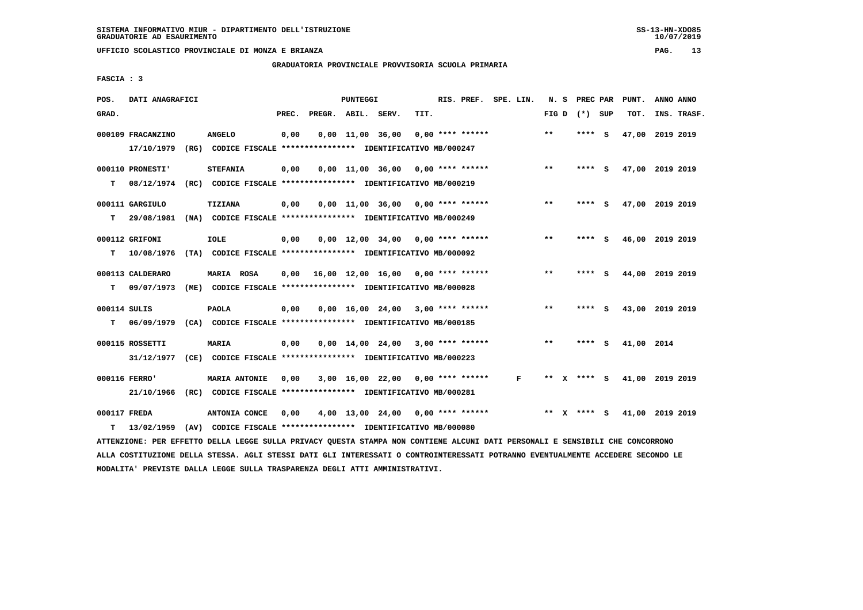**GRADUATORIA PROVINCIALE PROVVISORIA SCUOLA PRIMARIA**

 **FASCIA : 3**

| POS.         | DATI ANAGRAFICI                                                                                                               |                      |       |                    | PUNTEGGI |                                                               |      | RIS. PREF. SPE. LIN. |              |       |                 |     | N. S PREC PAR PUNT. | ANNO ANNO |             |
|--------------|-------------------------------------------------------------------------------------------------------------------------------|----------------------|-------|--------------------|----------|---------------------------------------------------------------|------|----------------------|--------------|-------|-----------------|-----|---------------------|-----------|-------------|
| GRAD.        |                                                                                                                               |                      | PREC. | PREGR. ABIL. SERV. |          |                                                               | TIT. |                      |              |       | FIG D $(*)$ SUP |     | TOT.                |           | INS. TRASF. |
|              | 000109 FRACANZINO                                                                                                             | <b>ANGELO</b>        | 0,00  |                    |          | $0,00 \quad 11,00 \quad 36,00$                                |      | $0.00$ **** ******   |              | $***$ | ****            | - S | 47,00               | 2019 2019 |             |
|              | 17/10/1979                                                                                                                    |                      |       |                    |          | (RG) CODICE FISCALE **************** IDENTIFICATIVO MB/000247 |      |                      |              |       |                 |     |                     |           |             |
|              | 000110 PRONESTI'                                                                                                              | <b>STEFANIA</b>      | 0,00  |                    |          | $0.00$ 11.00 36.00 0.00 **** ******                           |      |                      |              | **    | **** S          |     | 47,00 2019 2019     |           |             |
| т            | 08/12/1974                                                                                                                    |                      |       |                    |          | (RC) CODICE FISCALE **************** IDENTIFICATIVO MB/000219 |      |                      |              |       |                 |     |                     |           |             |
|              | 000111 GARGIULO                                                                                                               | TIZIANA              | 0,00  |                    |          | $0,00$ 11,00 36,00 0,00 **** ******                           |      |                      |              | $***$ | **** S          |     | 47,00 2019 2019     |           |             |
| т            | 29/08/1981                                                                                                                    |                      |       |                    |          | (NA) CODICE FISCALE **************** IDENTIFICATIVO MB/000249 |      |                      |              |       |                 |     |                     |           |             |
|              |                                                                                                                               |                      |       |                    |          |                                                               |      |                      |              |       |                 |     |                     |           |             |
|              | 000112 GRIFONI                                                                                                                | <b>IOLE</b>          | 0,00  |                    |          | $0,00$ 12,00 34,00 0,00 **** ******                           |      |                      |              | $***$ | **** S          |     | 46,00 2019 2019     |           |             |
| т            | 10/08/1976                                                                                                                    |                      |       |                    |          | (TA) CODICE FISCALE **************** IDENTIFICATIVO MB/000092 |      |                      |              |       |                 |     |                     |           |             |
|              | 000113 CALDERARO                                                                                                              | MARIA ROSA           | 0,00  |                    |          | 16,00 12,00 16,00 0,00 **** ******                            |      |                      |              | **    | **** S          |     | 44,00 2019 2019     |           |             |
| т            | 09/07/1973                                                                                                                    |                      |       |                    |          | (ME) CODICE FISCALE *************** IDENTIFICATIVO MB/000028  |      |                      |              |       |                 |     |                     |           |             |
|              |                                                                                                                               |                      |       |                    |          |                                                               |      |                      |              |       |                 |     |                     |           |             |
| 000114 SULIS |                                                                                                                               | <b>PAOLA</b>         | 0,00  |                    |          | $0.00$ 16.00 24.00 3.00 **** ******                           |      |                      |              | **    | **** S          |     | 43,00 2019 2019     |           |             |
| т            | 06/09/1979                                                                                                                    |                      |       |                    |          | (CA) CODICE FISCALE **************** IDENTIFICATIVO MB/000185 |      |                      |              |       |                 |     |                     |           |             |
|              | 000115 ROSSETTI                                                                                                               | <b>MARIA</b>         | 0,00  |                    |          | $0,00$ 14,00 24,00 3,00 **** ******                           |      |                      |              | $* *$ | $***$ S         |     | 41,00 2014          |           |             |
|              | 31/12/1977                                                                                                                    |                      |       |                    |          | (CE) CODICE FISCALE **************** IDENTIFICATIVO MB/000223 |      |                      |              |       |                 |     |                     |           |             |
|              | 000116 FERRO'                                                                                                                 | <b>MARIA ANTONIE</b> | 0,00  |                    |          | $3,00$ 16,00 22,00 0,00 **** ******                           |      |                      | $\mathbf{F}$ |       | ** x **** s     |     | 41,00 2019 2019     |           |             |
|              | 21/10/1966                                                                                                                    |                      |       |                    |          | (RC) CODICE FISCALE **************** IDENTIFICATIVO MB/000281 |      |                      |              |       |                 |     |                     |           |             |
|              |                                                                                                                               |                      |       |                    |          |                                                               |      |                      |              |       |                 |     |                     |           |             |
| 000117 FREDA |                                                                                                                               | ANTONIA CONCE        | 0,00  |                    |          | $4,00$ 13,00 24,00 0,00 **** ******                           |      |                      |              | ** X  | **** S          |     | 41,00 2019 2019     |           |             |
| т            | 13/02/1959                                                                                                                    |                      |       |                    |          | (AV) CODICE FISCALE **************** IDENTIFICATIVO MB/000080 |      |                      |              |       |                 |     |                     |           |             |
|              | ATTENZIONE: PER EFFETTO DELLA LEGGE SULLA PRIVACY QUESTA STAMPA NON CONTIENE ALCUNI DATI PERSONALI E SENSIBILI CHE CONCORRONO |                      |       |                    |          |                                                               |      |                      |              |       |                 |     |                     |           |             |

 **ALLA COSTITUZIONE DELLA STESSA. AGLI STESSI DATI GLI INTERESSATI O CONTROINTERESSATI POTRANNO EVENTUALMENTE ACCEDERE SECONDO LE MODALITA' PREVISTE DALLA LEGGE SULLA TRASPARENZA DEGLI ATTI AMMINISTRATIVI.**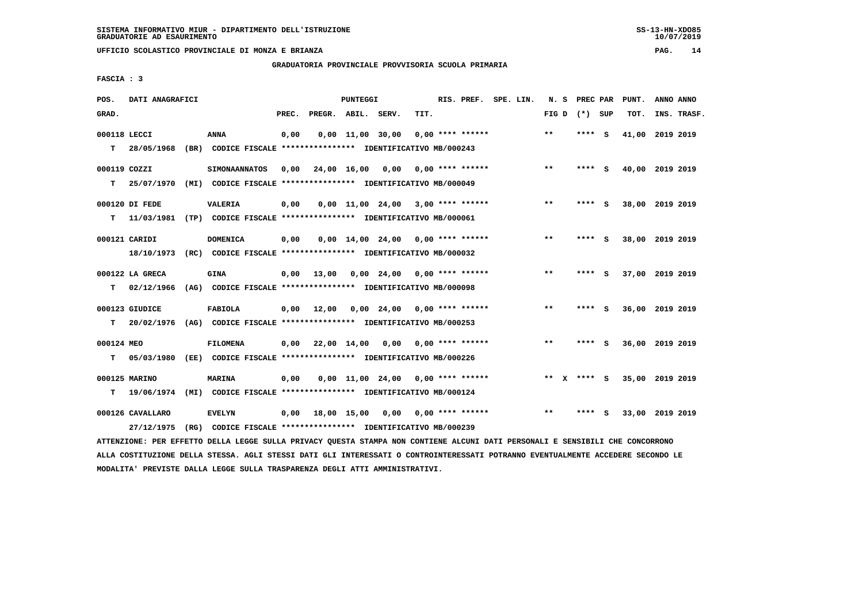**GRADUATORIA PROVINCIALE PROVVISORIA SCUOLA PRIMARIA**

 **FASCIA : 3**

| POS.         | DATI ANAGRAFICI  |                                                                          |       |                    | PUNTEGGI    |                        |                                     | RIS. PREF. SPE. LIN. | N. S            | PREC PAR |     | PUNT. | ANNO ANNO       |
|--------------|------------------|--------------------------------------------------------------------------|-------|--------------------|-------------|------------------------|-------------------------------------|----------------------|-----------------|----------|-----|-------|-----------------|
| GRAD.        |                  |                                                                          | PREC. | PREGR. ABIL. SERV. |             |                        | TIT.                                |                      | FIG D $(*)$ SUP |          |     | TOT.  | INS. TRASF.     |
| 000118 LECCI |                  | <b>ANNA</b>                                                              | 0,00  |                    |             | $0,00$ $11,00$ $30,00$ | $0.00$ **** ******                  |                      | $***$           | ****     | - S | 41,00 | 2019 2019       |
| т            | 28/05/1968       | (BR) CODICE FISCALE **************** IDENTIFICATIVO MB/000243            |       |                    |             |                        |                                     |                      |                 |          |     |       |                 |
| 000119 COZZI |                  | <b>SIMONAANNATOS</b>                                                     | 0.00  |                    | 24,00 16,00 | 0,00                   | 0,00 **** ******                    |                      | **              | **** S   |     |       | 40,00 2019 2019 |
| т            | 25/07/1970       | (MI) CODICE FISCALE **************** IDENTIFICATIVO MB/000049            |       |                    |             |                        |                                     |                      |                 |          |     |       |                 |
|              | 000120 DI FEDE   | VALERIA                                                                  | 0,00  |                    |             |                        | $0.00$ 11.00 24.00 3.00 **** ****** |                      | $**$            | ****     | - S |       | 38,00 2019 2019 |
| т            |                  | 11/03/1981 (TP) CODICE FISCALE **************** IDENTIFICATIVO MB/000061 |       |                    |             |                        |                                     |                      |                 |          |     |       |                 |
|              | 000121 CARIDI    | <b>DOMENICA</b>                                                          | 0,00  |                    |             | 0,00 14,00 24,00       | $0,00$ **** ******                  |                      | $**$            | **** S   |     |       | 38,00 2019 2019 |
|              | 18/10/1973       | (RC) CODICE FISCALE **************** IDENTIFICATIVO MB/000032            |       |                    |             |                        |                                     |                      |                 |          |     |       |                 |
|              | 000122 LA GRECA  | <b>GINA</b>                                                              | 0,00  | 13,00              |             | 0,00 24,00             | $0.00$ **** ******                  |                      | **              | ****     | - S |       | 37,00 2019 2019 |
| т            | 02/12/1966       | (AG) CODICE FISCALE **************** IDENTIFICATIVO MB/000098            |       |                    |             |                        |                                     |                      |                 |          |     |       |                 |
|              | 000123 GIUDICE   | <b>FABIOLA</b>                                                           | 0,00  | 12,00              |             |                        | $0,00$ 24,00 0,00 **** ******       |                      | $***$           | ****     | - S |       | 36,00 2019 2019 |
| т            | 20/02/1976       | (AG) CODICE FISCALE **************** IDENTIFICATIVO MB/000253            |       |                    |             |                        |                                     |                      |                 |          |     |       |                 |
| 000124 MEO   |                  | <b>FILOMENA</b>                                                          | 0,00  |                    | 22,00 14,00 | 0.00                   | $0.00$ **** ******                  |                      | $* *$           | **** S   |     |       | 36,00 2019 2019 |
| т            | 05/03/1980       | (EE) CODICE FISCALE **************** IDENTIFICATIVO MB/000226            |       |                    |             |                        |                                     |                      |                 |          |     |       |                 |
|              | 000125 MARINO    | MARINA                                                                   | 0,00  |                    |             |                        | $0.00$ 11.00 24.00 0.00 **** ****** |                      | **              | $***$ S  |     |       | 35,00 2019 2019 |
| т            | 19/06/1974       | (MI) CODICE FISCALE **************** IDENTIFICATIVO MB/000124            |       |                    |             |                        |                                     |                      |                 |          |     |       |                 |
|              | 000126 CAVALLARO | <b>EVELYN</b>                                                            | 0,00  |                    | 18,00 15,00 | 0,00                   | $0.00$ **** ******                  |                      | $***$           | ****     | s   |       | 33,00 2019 2019 |
|              | 27/12/1975       | (RG) CODICE FISCALE **************** IDENTIFICATIVO MB/000239            |       |                    |             |                        |                                     |                      |                 |          |     |       |                 |

 **ATTENZIONE: PER EFFETTO DELLA LEGGE SULLA PRIVACY QUESTA STAMPA NON CONTIENE ALCUNI DATI PERSONALI E SENSIBILI CHE CONCORRONO ALLA COSTITUZIONE DELLA STESSA. AGLI STESSI DATI GLI INTERESSATI O CONTROINTERESSATI POTRANNO EVENTUALMENTE ACCEDERE SECONDO LE MODALITA' PREVISTE DALLA LEGGE SULLA TRASPARENZA DEGLI ATTI AMMINISTRATIVI.**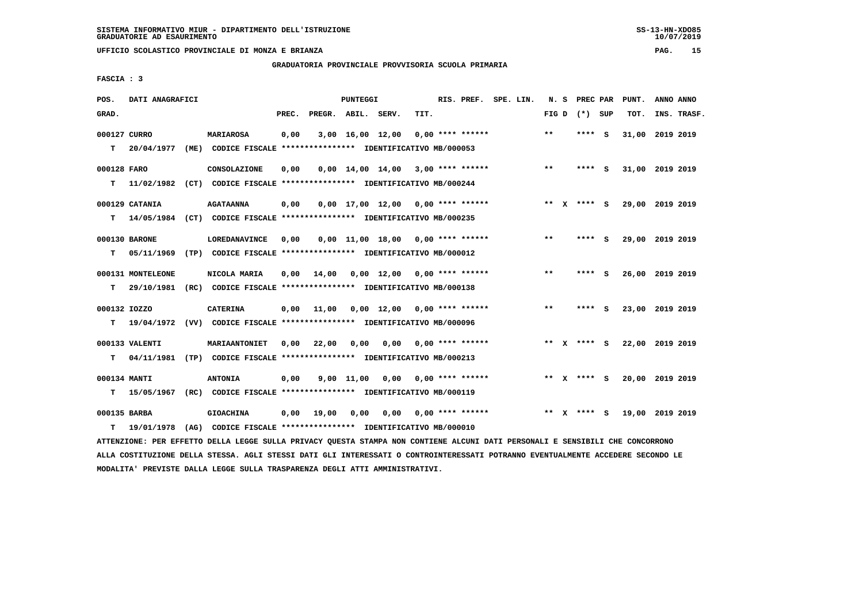**GRADUATORIA PROVINCIALE PROVVISORIA SCUOLA PRIMARIA**

 **FASCIA : 3**

| INS. TRASF.<br>31,00 2019 2019 |
|--------------------------------|
|                                |
|                                |
|                                |
|                                |
| 31,00 2019 2019                |
|                                |
| 29,00 2019 2019                |
|                                |
|                                |
| 29,00 2019 2019                |
|                                |
|                                |
| 26,00 2019 2019                |
|                                |
|                                |
| 23,00 2019 2019                |
|                                |
| 22,00 2019 2019                |
|                                |
|                                |
| 20,00 2019 2019                |
|                                |
| 19,00 2019 2019                |
|                                |
|                                |
|                                |

 **ALLA COSTITUZIONE DELLA STESSA. AGLI STESSI DATI GLI INTERESSATI O CONTROINTERESSATI POTRANNO EVENTUALMENTE ACCEDERE SECONDO LE MODALITA' PREVISTE DALLA LEGGE SULLA TRASPARENZA DEGLI ATTI AMMINISTRATIVI.**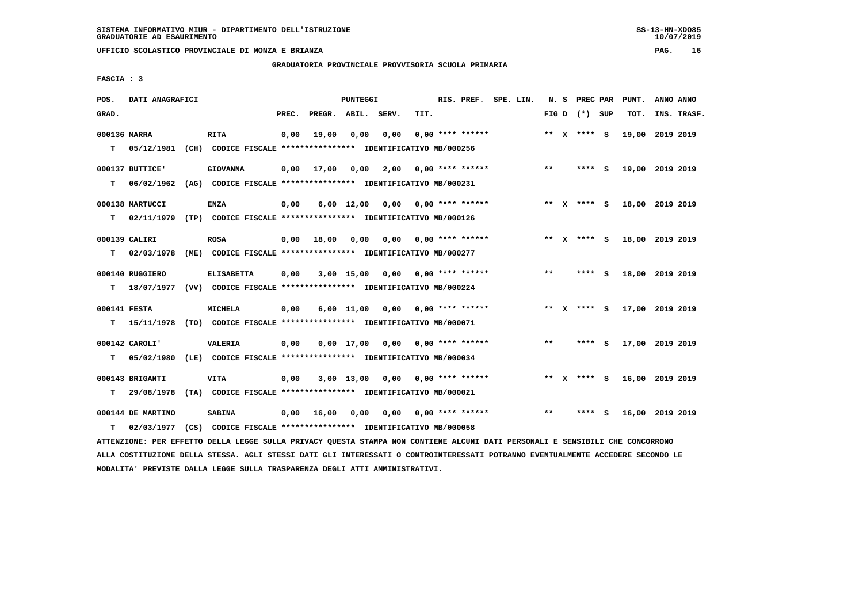**GRADUATORIA PROVINCIALE PROVVISORIA SCUOLA PRIMARIA**

 **FASCIA : 3**

| POS.         | DATI ANAGRAFICI   |                                                                                                                               |       |                    | PUNTEGGI   |                                        |      | RIS. PREF. SPE. LIN.      |  |       | N. S PREC PAR   | PUNT.           | ANNO ANNO |             |
|--------------|-------------------|-------------------------------------------------------------------------------------------------------------------------------|-------|--------------------|------------|----------------------------------------|------|---------------------------|--|-------|-----------------|-----------------|-----------|-------------|
| GRAD.        |                   |                                                                                                                               | PREC. | PREGR. ABIL. SERV. |            |                                        | TIT. |                           |  |       | FIG D $(*)$ SUP | TOT.            |           | INS. TRASF. |
| 000136 MARRA |                   | <b>RITA</b>                                                                                                                   | 0,00  | 19,00              | 0,00       | 0,00                                   |      | $0.00$ **** ******        |  |       | ** X **** S     | 19,00 2019 2019 |           |             |
| T.           | 05/12/1981        | (CH) CODICE FISCALE **************** IDENTIFICATIVO MB/000256                                                                 |       |                    |            |                                        |      |                           |  |       |                 |                 |           |             |
|              | 000137 BUTTICE'   | <b>GIOVANNA</b>                                                                                                               | 0,00  | 17,00              | 0,00       |                                        |      | $2,00$ 0,00 **** ******   |  | $***$ | $***$ S         | 19,00 2019 2019 |           |             |
| т            | 06/02/1962        | (AG) CODICE FISCALE **************** IDENTIFICATIVO MB/000231                                                                 |       |                    |            |                                        |      |                           |  |       |                 |                 |           |             |
|              | 000138 MARTUCCI   | <b>ENZA</b>                                                                                                                   | 0,00  |                    |            | $6,00$ 12,00 0,00 0,00 **** ******     |      |                           |  |       | ** x **** s     | 18,00 2019 2019 |           |             |
| т            |                   | 02/11/1979 (TP) CODICE FISCALE *************** IDENTIFICATIVO MB/000126                                                       |       |                    |            |                                        |      |                           |  |       |                 |                 |           |             |
|              | 000139 CALIRI     | <b>ROSA</b>                                                                                                                   | 0,00  | 18,00              |            | $0,00$ $0,00$ $0,00$ $***$ **** ****** |      |                           |  |       | ** X **** S     | 18,00 2019 2019 |           |             |
| т            | 02/03/1978        | (ME) CODICE FISCALE **************** IDENTIFICATIVO MB/000277                                                                 |       |                    |            |                                        |      |                           |  |       |                 |                 |           |             |
|              | 000140 RUGGIERO   | <b>ELISABETTA</b>                                                                                                             | 0,00  |                    | 3,00 15,00 |                                        |      | $0,00$ $0,00$ **** ****** |  | $***$ | **** S          | 18,00 2019 2019 |           |             |
| т            |                   | 18/07/1977 (VV) CODICE FISCALE *************** IDENTIFICATIVO MB/000224                                                       |       |                    |            |                                        |      |                           |  |       |                 |                 |           |             |
| 000141 FESTA |                   | <b>MICHELA</b>                                                                                                                | 0,00  |                    |            | $6,00$ 11,00 0,00 0,00 **** ******     |      |                           |  |       | ** x **** S     | 17,00 2019 2019 |           |             |
| т            |                   | 15/11/1978 (TO) CODICE FISCALE **************** IDENTIFICATIVO MB/000071                                                      |       |                    |            |                                        |      |                           |  |       |                 |                 |           |             |
|              | $000142$ CAROLI'  | VALERIA                                                                                                                       | 0,00  |                    |            | $0,00$ 17,00 0,00 0,00 **** ******     |      |                           |  | **    | **** S          | 17,00 2019 2019 |           |             |
| т            |                   | 05/02/1980 (LE) CODICE FISCALE **************** IDENTIFICATIVO MB/000034                                                      |       |                    |            |                                        |      |                           |  |       |                 |                 |           |             |
|              | 000143 BRIGANTI   | <b>VITA</b>                                                                                                                   | 0,00  |                    |            | $3,00$ 13,00 0,00 0,00 **** ******     |      |                           |  |       | ** x **** S     | 16,00 2019 2019 |           |             |
| т            | 29/08/1978        | (TA) CODICE FISCALE *************** IDENTIFICATIVO MB/000021                                                                  |       |                    |            |                                        |      |                           |  |       |                 |                 |           |             |
|              | 000144 DE MARTINO | <b>SABINA</b>                                                                                                                 | 0,00  | 16,00              | 0,00       |                                        |      | $0.00$ $0.00$ **** ****** |  | $***$ | **** S          | 16,00 2019 2019 |           |             |
| т            | 02/03/1977        | (CS) CODICE FISCALE *************** IDENTIFICATIVO MB/000058                                                                  |       |                    |            |                                        |      |                           |  |       |                 |                 |           |             |
|              |                   | ATTENZIONE: PER EFFETTO DELLA LEGGE SULLA PRIVACY QUESTA STAMPA NON CONTIENE ALCUNI DATI PERSONALI E SENSIBILI CHE CONCORRONO |       |                    |            |                                        |      |                           |  |       |                 |                 |           |             |

 **ALLA COSTITUZIONE DELLA STESSA. AGLI STESSI DATI GLI INTERESSATI O CONTROINTERESSATI POTRANNO EVENTUALMENTE ACCEDERE SECONDO LE**

 **MODALITA' PREVISTE DALLA LEGGE SULLA TRASPARENZA DEGLI ATTI AMMINISTRATIVI.**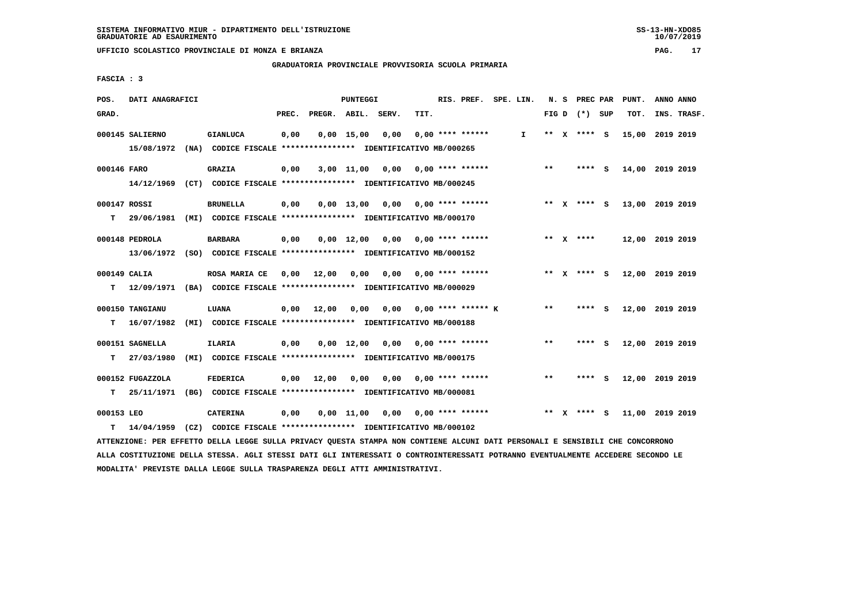**GRADUATORIA PROVINCIALE PROVVISORIA SCUOLA PRIMARIA**

 **FASCIA : 3**

| POS.         | DATI ANAGRAFICI  |                                                                                                                               |       |              | PUNTEGGI           |                                        |      | RIS. PREF. SPE. LIN.      |              |       | N. S PREC PAR   | PUNT.           | ANNO ANNO |             |
|--------------|------------------|-------------------------------------------------------------------------------------------------------------------------------|-------|--------------|--------------------|----------------------------------------|------|---------------------------|--------------|-------|-----------------|-----------------|-----------|-------------|
| GRAD.        |                  |                                                                                                                               | PREC. | PREGR. ABIL. |                    | SERV.                                  | TIT. |                           |              |       | FIG D $(*)$ SUP | TOT.            |           | INS. TRASF. |
|              | 000145 SALIERNO  | <b>GIANLUCA</b>                                                                                                               | 0,00  |              | $0,00 \quad 15,00$ | 0,00                                   |      | $0.00$ **** ******        | $\mathbf{I}$ |       | ** X **** S     | 15,00 2019 2019 |           |             |
|              | 15/08/1972       | (NA) CODICE FISCALE **************** IDENTIFICATIVO MB/000265                                                                 |       |              |                    |                                        |      |                           |              |       |                 |                 |           |             |
| 000146 FARO  |                  | <b>GRAZIA</b>                                                                                                                 | 0,00  |              | 3,00 11,00         |                                        |      | $0,00$ $0,00$ **** ****** |              | $* *$ | **** S          | 14,00 2019 2019 |           |             |
|              |                  | 14/12/1969 (CT) CODICE FISCALE *************** IDENTIFICATIVO MB/000245                                                       |       |              |                    |                                        |      |                           |              |       |                 |                 |           |             |
| 000147 ROSSI |                  | <b>BRUNELLA</b>                                                                                                               | 0,00  |              |                    | $0,00$ 13,00 0,00 0,00 **** ******     |      |                           |              |       | ** X **** S     | 13,00 2019 2019 |           |             |
| т            |                  | 29/06/1981 (MI) CODICE FISCALE **************** IDENTIFICATIVO MB/000170                                                      |       |              |                    |                                        |      |                           |              |       |                 |                 |           |             |
|              |                  |                                                                                                                               |       |              |                    |                                        |      |                           |              |       |                 |                 |           |             |
|              | 000148 PEDROLA   | <b>BARBARA</b>                                                                                                                | 0,00  |              |                    | $0,00$ 12,00 0,00 0,00 **** ******     |      |                           |              |       | ** x ****       | 12,00 2019 2019 |           |             |
|              |                  | 13/06/1972 (SO) CODICE FISCALE *************** IDENTIFICATIVO MB/000152                                                       |       |              |                    |                                        |      |                           |              |       |                 |                 |           |             |
| 000149 CALIA |                  | ROSA MARIA CE                                                                                                                 | 0,00  | 12,00        | 0,00               |                                        |      | $0,00$ $0,00$ **** ****** |              |       | ** X **** S     | 12,00 2019 2019 |           |             |
|              |                  | T 12/09/1971 (BA) CODICE FISCALE *************** IDENTIFICATIVO MB/000029                                                     |       |              |                    |                                        |      |                           |              |       |                 |                 |           |             |
|              | 000150 TANGIANU  | LUANA                                                                                                                         | 0,00  | 12,00        | 0.00               |                                        |      | $0,00$ 0,00 **** ****** K |              | $* *$ | **** S          | 12,00 2019 2019 |           |             |
| T.           | 16/07/1982       | (MI) CODICE FISCALE **************** IDENTIFICATIVO MB/000188                                                                 |       |              |                    |                                        |      |                           |              |       |                 |                 |           |             |
|              |                  |                                                                                                                               |       |              |                    |                                        |      |                           |              |       |                 |                 |           |             |
|              | 000151 SAGNELLA  | <b>ILARIA</b>                                                                                                                 | 0,00  |              |                    | 0,00 12,00 0,00                        |      | $0,00$ **** ******        |              | $***$ | **** S          | 12,00 2019 2019 |           |             |
| т            | 27/03/1980       | (MI) CODICE FISCALE **************** IDENTIFICATIVO MB/000175                                                                 |       |              |                    |                                        |      |                           |              |       |                 |                 |           |             |
|              | 000152 FUGAZZOLA | <b>FEDERICA</b>                                                                                                               | 0,00  | 12,00        |                    | $0,00$ $0,00$ $0,00$ $***$ **** ****** |      |                           |              | $***$ | **** S          | 12,00 2019 2019 |           |             |
| т            |                  | 25/11/1971 (BG) CODICE FISCALE **************** IDENTIFICATIVO MB/000081                                                      |       |              |                    |                                        |      |                           |              |       |                 |                 |           |             |
| 000153 LEO   |                  | <b>CATERINA</b>                                                                                                               | 0,00  |              |                    | $0,00$ 11,00 0,00 0,00 **** ******     |      |                           |              |       | ** X **** S     | 11,00 2019 2019 |           |             |
| т            | 14/04/1959       | (CZ) CODICE FISCALE **************** IDENTIFICATIVO MB/000102                                                                 |       |              |                    |                                        |      |                           |              |       |                 |                 |           |             |
|              |                  | ATTENZIONE: PER EFFETTO DELLA LEGGE SULLA PRIVACY QUESTA STAMPA NON CONTIENE ALCUNI DATI PERSONALI E SENSIBILI CHE CONCORRONO |       |              |                    |                                        |      |                           |              |       |                 |                 |           |             |

 **ALLA COSTITUZIONE DELLA STESSA. AGLI STESSI DATI GLI INTERESSATI O CONTROINTERESSATI POTRANNO EVENTUALMENTE ACCEDERE SECONDO LE MODALITA' PREVISTE DALLA LEGGE SULLA TRASPARENZA DEGLI ATTI AMMINISTRATIVI.**